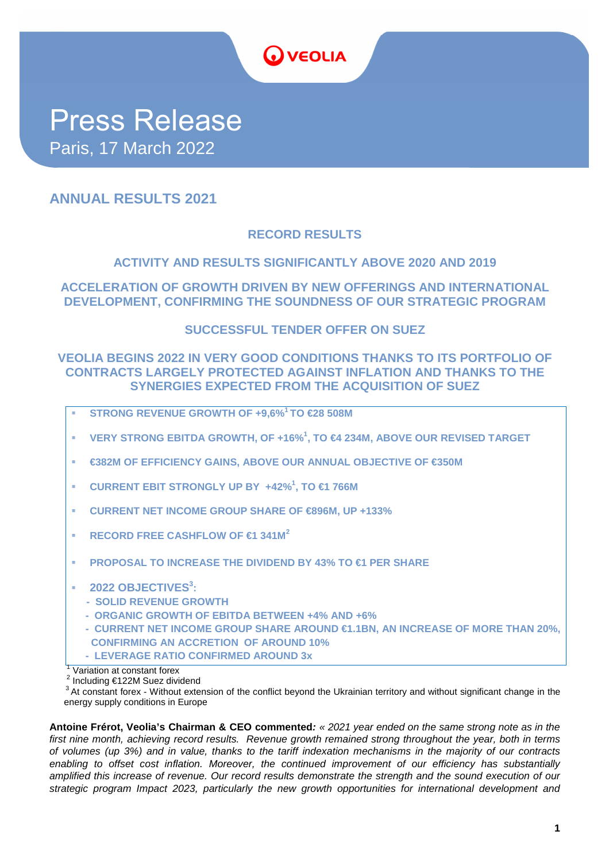

# Press Release Paris, 17 March 2022

**ANNUAL RESULTS 2021** 

### **RECORD RESULTS**

#### **ACTIVITY AND RESULTS SIGNIFICANTLY ABOVE 2020 AND 2019**

**ACCELERATION OF GROWTH DRIVEN BY NEW OFFERINGS AND INTERNATIONAL DEVELOPMENT, CONFIRMING THE SOUNDNESS OF OUR STRATEGIC PROGRAM** 

#### **SUCCESSFUL TENDER OFFER ON SUEZ**

**VEOLIA BEGINS 2022 IN VERY GOOD CONDITIONS THANKS TO ITS PORTFOLIO OF CONTRACTS LARGELY PROTECTED AGAINST INFLATION AND THANKS TO THE SYNERGIES EXPECTED FROM THE ACQUISITION OF SUEZ** 

- **STRONG REVENUE GROWTH OF +9,6%<sup>1</sup>TO €28 508M**
- **VERY STRONG EBITDA GROWTH, OF +16%<sup>1</sup> , TO €4 234M, ABOVE OUR REVISED TARGET**
- **€382M OF EFFICIENCY GAINS, ABOVE OUR ANNUAL OBJECTIVE OF €350M**
- **CURRENT EBIT STRONGLY UP BY +42%<sup>1</sup> , TO €1 766M**
- **CURRENT NET INCOME GROUP SHARE OF €896M, UP +133%**
- **RECORD FREE CASHFLOW OF €1 341M<sup>2</sup>**
- **PROPOSAL TO INCREASE THE DIVIDEND BY 43% TO €1 PER SHARE**
- **2022 OBJECTIVES<sup>3</sup> :** 
	- **SOLID REVENUE GROWTH**
	- **ORGANIC GROWTH OF EBITDA BETWEEN +4% AND +6%**
	- **CURRENT NET INCOME GROUP SHARE AROUND €1.1BN, AN INCREASE OF MORE THAN 20%, CONFIRMING AN ACCRETION OF AROUND 10%**
	- **LEVERAGE RATIO CONFIRMED AROUND 3x**

Variation at constant forex

<sup>2</sup> Including €122M Suez dividend

<sup>3</sup> At constant forex - Without extension of the conflict beyond the Ukrainian territory and without significant change in the energy supply conditions in Europe

**Antoine Frérot, Veolia's Chairman & CEO commented:** « 2021 year ended on the same strong note as in the first nine month, achieving record results. Revenue growth remained strong throughout the year, both in terms of volumes (up 3%) and in value, thanks to the tariff indexation mechanisms in the majority of our contracts enabling to offset cost inflation. Moreover, the continued improvement of our efficiency has substantially amplified this increase of revenue. Our record results demonstrate the strength and the sound execution of our strategic program Impact 2023, particularly the new growth opportunities for international development and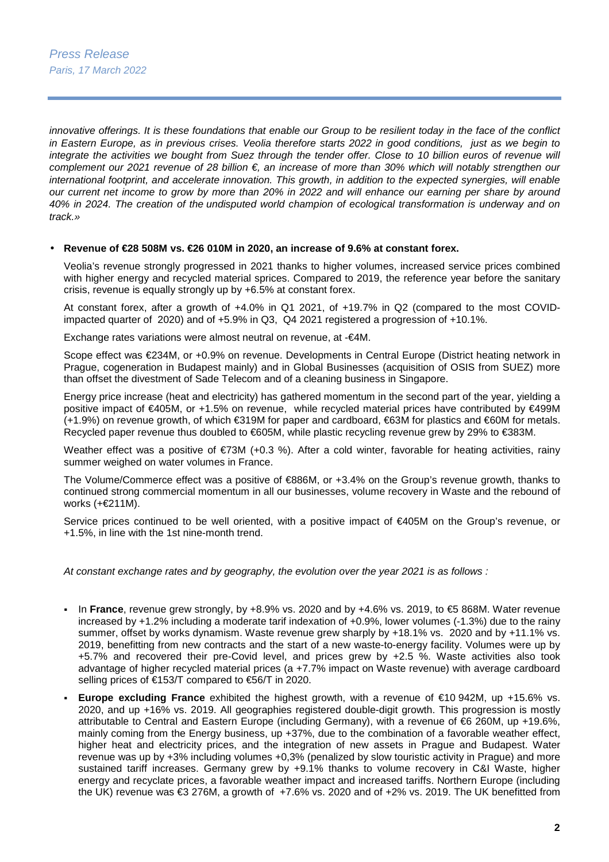innovative offerings. It is these foundations that enable our Group to be resilient today in the face of the conflict in Eastern Europe, as in previous crises. Veolia therefore starts 2022 in good conditions, just as we begin to integrate the activities we bought from Suez through the tender offer. Close to 10 billion euros of revenue will complement our 2021 revenue of 28 billion €, an increase of more than 30% which will notably strengthen our international footprint, and accelerate innovation. This growth, in addition to the expected synergies, will enable our current net income to grow by more than 20% in 2022 and will enhance our earning per share by around 40% in 2024. The creation of the undisputed world champion of ecological transformation is underway and on track.»

#### • **Revenue of €28 508M vs. €26 010M in 2020, an increase of 9.6% at constant forex.**

Veolia's revenue strongly progressed in 2021 thanks to higher volumes, increased service prices combined with higher energy and recycled material sprices. Compared to 2019, the reference year before the sanitary crisis, revenue is equally strongly up by +6.5% at constant forex.

At constant forex, after a growth of +4.0% in Q1 2021, of +19.7% in Q2 (compared to the most COVIDimpacted quarter of 2020) and of +5.9% in Q3, Q4 2021 registered a progression of +10.1%.

Exchange rates variations were almost neutral on revenue, at -€4M.

Scope effect was €234M, or +0.9% on revenue. Developments in Central Europe (District heating network in Prague, cogeneration in Budapest mainly) and in Global Businesses (acquisition of OSIS from SUEZ) more than offset the divestment of Sade Telecom and of a cleaning business in Singapore.

Energy price increase (heat and electricity) has gathered momentum in the second part of the year, yielding a positive impact of €405M, or +1.5% on revenue, while recycled material prices have contributed by €499M (+1.9%) on revenue growth, of which €319M for paper and cardboard, €63M for plastics and €60M for metals. Recycled paper revenue thus doubled to €605M, while plastic recycling revenue grew by 29% to €383M.

Weather effect was a positive of €73M (+0.3 %). After a cold winter, favorable for heating activities, rainy summer weighed on water volumes in France.

The Volume/Commerce effect was a positive of €886M, or +3.4% on the Group's revenue growth, thanks to continued strong commercial momentum in all our businesses, volume recovery in Waste and the rebound of works (+€211M).

Service prices continued to be well oriented, with a positive impact of €405M on the Group's revenue, or +1.5%, in line with the 1st nine-month trend.

At constant exchange rates and by geography, the evolution over the year 2021 is as follows :

- In **France**, revenue grew strongly, by +8.9% vs. 2020 and by +4.6% vs. 2019, to €5 868M. Water revenue increased by +1.2% including a moderate tarif indexation of +0.9%, lower volumes (-1.3%) due to the rainy summer, offset by works dynamism. Waste revenue grew sharply by +18.1% vs. 2020 and by +11.1% vs. 2019, benefitting from new contracts and the start of a new waste-to-energy facility. Volumes were up by +5.7% and recovered their pre-Covid level, and prices grew by +2.5 %. Waste activities also took advantage of higher recycled material prices (a +7.7% impact on Waste revenue) with average cardboard selling prices of €153/T compared to €56/T in 2020.
- **Europe excluding France** exhibited the highest growth, with a revenue of €10 942M, up +15.6% vs. 2020, and up +16% vs. 2019. All geographies registered double-digit growth. This progression is mostly attributable to Central and Eastern Europe (including Germany), with a revenue of €6 260M, up +19.6%, mainly coming from the Energy business, up +37%, due to the combination of a favorable weather effect, higher heat and electricity prices, and the integration of new assets in Prague and Budapest. Water revenue was up by +3% including volumes +0,3% (penalized by slow touristic activity in Prague) and more sustained tariff increases. Germany grew by +9.1% thanks to volume recovery in C&I Waste, higher energy and recyclate prices, a favorable weather impact and increased tariffs. Northern Europe (including the UK) revenue was €3 276M, a growth of +7.6% vs. 2020 and of +2% vs. 2019. The UK benefitted from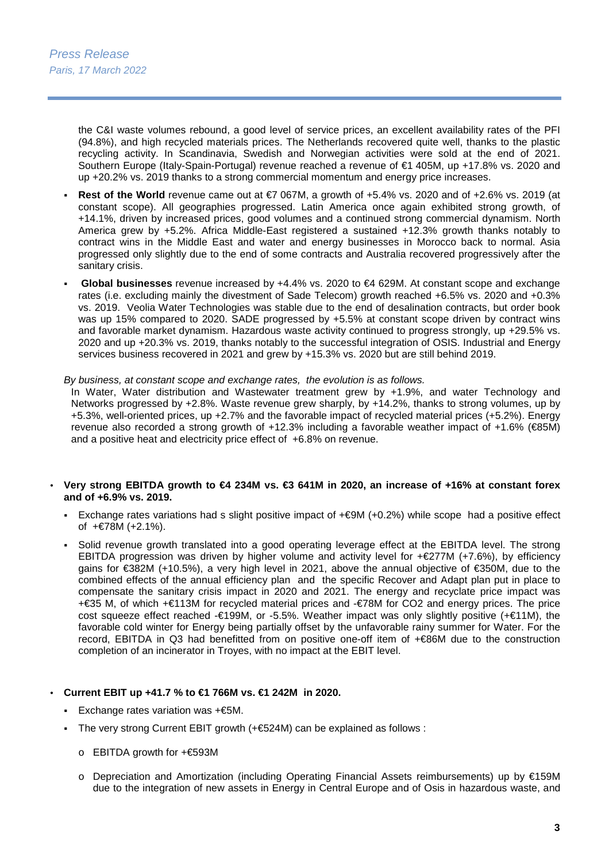the C&I waste volumes rebound, a good level of service prices, an excellent availability rates of the PFI (94.8%), and high recycled materials prices. The Netherlands recovered quite well, thanks to the plastic recycling activity. In Scandinavia, Swedish and Norwegian activities were sold at the end of 2021. Southern Europe (Italy-Spain-Portugal) revenue reached a revenue of €1 405M, up +17.8% vs. 2020 and up +20.2% vs. 2019 thanks to a strong commercial momentum and energy price increases.

- **Rest of the World** revenue came out at €7 067M, a growth of +5.4% vs. 2020 and of +2.6% vs. 2019 (at constant scope). All geographies progressed. Latin America once again exhibited strong growth, of +14.1%, driven by increased prices, good volumes and a continued strong commercial dynamism. North America grew by +5.2%. Africa Middle-East registered a sustained +12.3% growth thanks notably to contract wins in the Middle East and water and energy businesses in Morocco back to normal. Asia progressed only slightly due to the end of some contracts and Australia recovered progressively after the sanitary crisis.
- **Global businesses** revenue increased by +4.4% vs. 2020 to €4 629M. At constant scope and exchange rates (i.e. excluding mainly the divestment of Sade Telecom) growth reached +6.5% vs. 2020 and +0.3% vs. 2019. Veolia Water Technologies was stable due to the end of desalination contracts, but order book was up 15% compared to 2020. SADE progressed by +5.5% at constant scope driven by contract wins and favorable market dynamism. Hazardous waste activity continued to progress strongly, up +29.5% vs. 2020 and up +20.3% vs. 2019, thanks notably to the successful integration of OSIS. Industrial and Energy services business recovered in 2021 and grew by +15.3% vs. 2020 but are still behind 2019.

#### By business, at constant scope and exchange rates, the evolution is as follows.

In Water, Water distribution and Wastewater treatment grew by +1.9%, and water Technology and Networks progressed by +2.8%. Waste revenue grew sharply, by +14.2%, thanks to strong volumes, up by +5.3%, well-oriented prices, up +2.7% and the favorable impact of recycled material prices (+5.2%). Energy revenue also recorded a strong growth of +12.3% including a favorable weather impact of +1.6% (€85M) and a positive heat and electricity price effect of +6.8% on revenue.

#### • **Very strong EBITDA growth to €4 234M vs. €3 641M in 2020, an increase of +16% at constant forex and of +6.9% vs. 2019.**

- Exchange rates variations had s slight positive impact of +€9M (+0.2%) while scope had a positive effect of +€78M (+2.1%).
- Solid revenue growth translated into a good operating leverage effect at the EBITDA level. The strong EBITDA progression was driven by higher volume and activity level for  $+\epsilon$ 277M (+7.6%), by efficiency gains for €382M (+10.5%), a very high level in 2021, above the annual objective of €350M, due to the combined effects of the annual efficiency plan and the specific Recover and Adapt plan put in place to compensate the sanitary crisis impact in 2020 and 2021. The energy and recyclate price impact was +€35 M, of which +€113M for recycled material prices and -€78M for CO2 and energy prices. The price cost squeeze effect reached -€199M, or -5.5%. Weather impact was only slightly positive (+€11M), the favorable cold winter for Energy being partially offset by the unfavorable rainy summer for Water. For the record, EBITDA in Q3 had benefitted from on positive one-off item of +€86M due to the construction completion of an incinerator in Troyes, with no impact at the EBIT level.

#### • **Current EBIT up +41.7 % to €1 766M vs. €1 242M in 2020.**

- Exchange rates variation was +€5M.
- The very strong Current EBIT growth (+€524M) can be explained as follows :
	- o EBITDA growth for +€593M
	- o Depreciation and Amortization (including Operating Financial Assets reimbursements) up by €159M due to the integration of new assets in Energy in Central Europe and of Osis in hazardous waste, and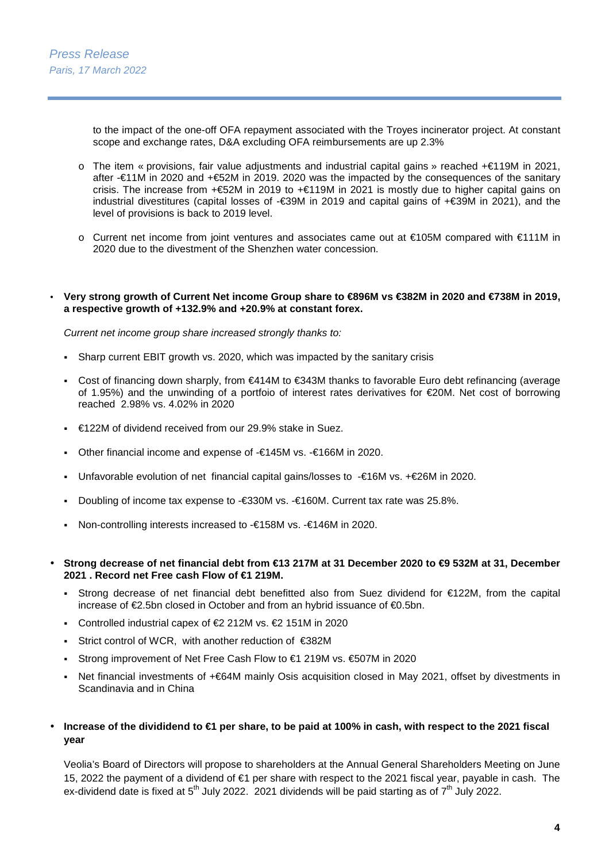to the impact of the one-off OFA repayment associated with the Troyes incinerator project. At constant scope and exchange rates, D&A excluding OFA reimbursements are up 2.3%

- o The item « provisions, fair value adjustments and industrial capital gains » reached +€119M in 2021, after -€11M in 2020 and +€52M in 2019. 2020 was the impacted by the consequences of the sanitary crisis. The increase from  $+ \epsilon 52M$  in 2019 to  $+ \epsilon 119M$  in 2021 is mostly due to higher capital gains on industrial divestitures (capital losses of -€39M in 2019 and capital gains of +€39M in 2021), and the level of provisions is back to 2019 level.
- o Current net income from joint ventures and associates came out at €105M compared with €111M in 2020 due to the divestment of the Shenzhen water concession.

#### • **Very strong growth of Current Net income Group share to €896M vs €382M in 2020 and €738M in 2019, a respective growth of +132.9% and +20.9% at constant forex.**

Current net income group share increased strongly thanks to:

- Sharp current EBIT growth vs. 2020, which was impacted by the sanitary crisis
- Cost of financing down sharply, from €414M to €343M thanks to favorable Euro debt refinancing (average of 1.95%) and the unwinding of a portfoio of interest rates derivatives for €20M. Net cost of borrowing reached 2.98% vs. 4.02% in 2020
- €122M of dividend received from our 29.9% stake in Suez.
- Other financial income and expense of -€145M vs. -€166M in 2020.
- Unfavorable evolution of net financial capital gains/losses to -€16M vs. +€26M in 2020.
- Doubling of income tax expense to -€330M vs. -€160M. Current tax rate was 25.8%.
- Non-controlling interests increased to -€158M vs. €146M in 2020.
- **Strong decrease of net financial debt from €13 217M at 31 December 2020 to €9 532M at 31, December 2021 . Record net Free cash Flow of €1 219M.** 
	- Strong decrease of net financial debt benefitted also from Suez dividend for €122M, from the capital increase of €2.5bn closed in October and from an hybrid issuance of €0.5bn.
	- Controlled industrial capex of €2 212M vs. €2 151Min 2020
	- Strict control of WCR, with another reduction of €382M
	- Strong improvement of Net Free Cash Flow to €1 219M vs. €507M in 2020
	- Net financial investments of +€64M mainly Osis acquisition closed in May 2021, offset by divestments in Scandinavia and in China

#### • **Increase of the divididend to €1 per share, to be paid at 100% in cash, with respect to the 2021 fiscal year**

Veolia's Board of Directors will propose to shareholders at the Annual General Shareholders Meeting on June 15, 2022 the payment of a dividend of €1 per share with respect to the 2021 fiscal year, payable in cash. The ex-dividend date is fixed at  $5<sup>th</sup>$  July 2022. 2021 dividends will be paid starting as of  $7<sup>th</sup>$  July 2022.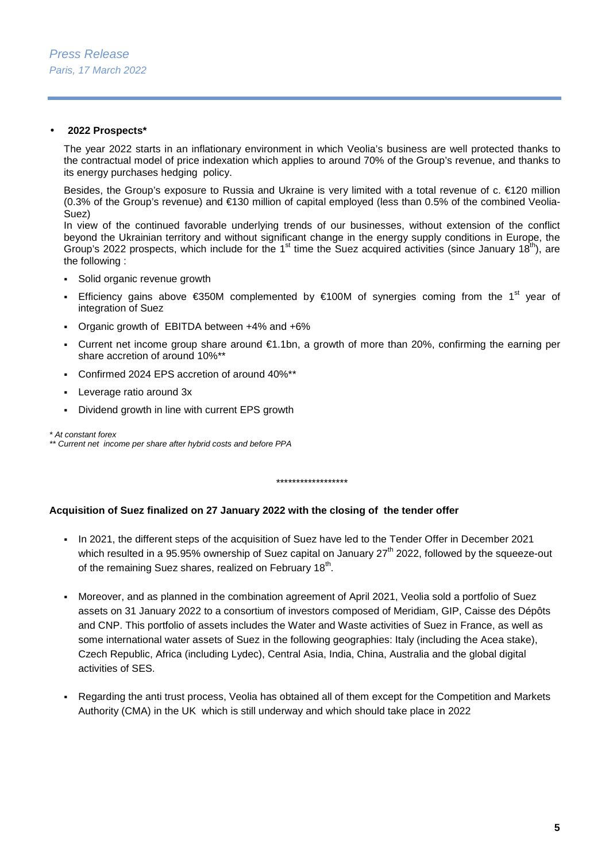#### • **2022 Prospects\***

The year 2022 starts in an inflationary environment in which Veolia's business are well protected thanks to the contractual model of price indexation which applies to around 70% of the Group's revenue, and thanks to its energy purchases hedging policy.

Besides, the Group's exposure to Russia and Ukraine is very limited with a total revenue of c. €120 million (0.3% of the Group's revenue) and €130 million of capital employed (less than 0.5% of the combined Veolia-Suez)

In view of the continued favorable underlying trends of our businesses, without extension of the conflict beyond the Ukrainian territory and without significant change in the energy supply conditions in Europe, the Group's 2022 prospects, which include for the  $1<sup>st</sup>$  time the Suez acquired activities (since January 18<sup>th</sup>), are the following :

- Solid organic revenue growth
- Efficiency gains above €350M complemented by €100M of synergies coming from the 1<sup>st</sup> year of integration of Suez
- Organic growth of EBITDA between +4% and +6%
- Current net income group share around  $\epsilon$ 1.1bn, a growth of more than 20%, confirming the earning per share accretion of around 10%\*\*
- Confirmed 2024 EPS accretion of around 40%\*\*
- Leverage ratio around 3x
- Dividend growth in line with current EPS growth

\* At constant forex

\*\* Current net income per share after hybrid costs and before PPA

\*\*\*\*\*\*\*\*\*\*\*\*\*\*\*\*\*\*

#### **Acquisition of Suez finalized on 27 January 2022 with the closing of the tender offer**

- In 2021, the different steps of the acquisition of Suez have led to the Tender Offer in December 2021 which resulted in a 95.95% ownership of Suez capital on January  $27<sup>th</sup>$  2022, followed by the squeeze-out of the remaining Suez shares, realized on February 18<sup>th</sup>.
- Moreover, and as planned in the combination agreement of April 2021, Veolia sold a portfolio of Suez assets on 31 January 2022 to a consortium of investors composed of Meridiam, GIP, Caisse des Dépôts and CNP. This portfolio of assets includes the Water and Waste activities of Suez in France, as well as some international water assets of Suez in the following geographies: Italy (including the Acea stake), Czech Republic, Africa (including Lydec), Central Asia, India, China, Australia and the global digital activities of SES.
- Regarding the anti trust process, Veolia has obtained all of them except for the Competition and Markets Authority (CMA) in the UK which is still underway and which should take place in 2022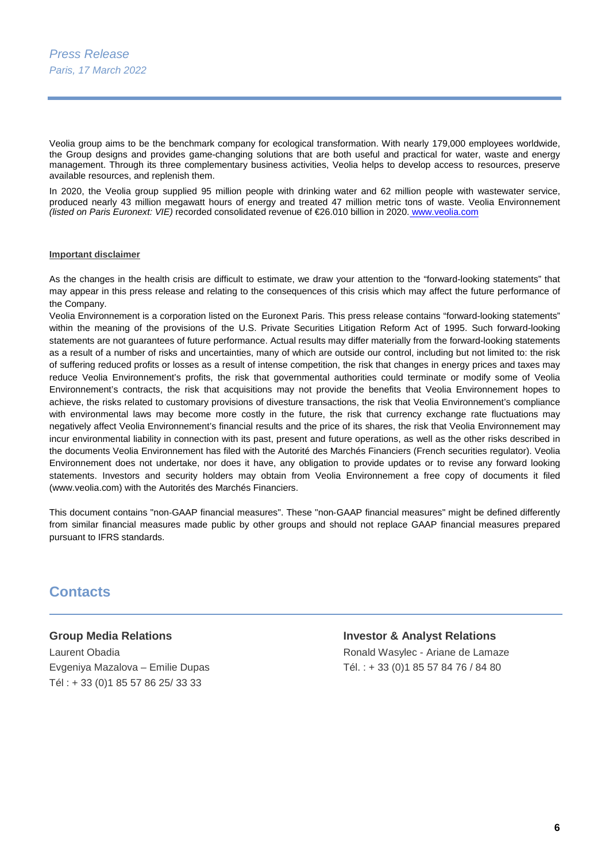Veolia group aims to be the benchmark company for ecological transformation. With nearly 179,000 employees worldwide, the Group designs and provides game-changing solutions that are both useful and practical for water, waste and energy management. Through its three complementary business activities, Veolia helps to develop access to resources, preserve available resources, and replenish them.

In 2020, the Veolia group supplied 95 million people with drinking water and 62 million people with wastewater service, produced nearly 43 million megawatt hours of energy and treated 47 million metric tons of waste. Veolia Environnement (listed on Paris Euronext: VIE) recorded consolidated revenue of €26.010 billion in 2020. www.veolia.com

#### **Important disclaimer**

As the changes in the health crisis are difficult to estimate, we draw your attention to the "forward-looking statements" that may appear in this press release and relating to the consequences of this crisis which may affect the future performance of the Company.

Veolia Environnement is a corporation listed on the Euronext Paris. This press release contains "forward-looking statements" within the meaning of the provisions of the U.S. Private Securities Litigation Reform Act of 1995. Such forward-looking statements are not guarantees of future performance. Actual results may differ materially from the forward-looking statements as a result of a number of risks and uncertainties, many of which are outside our control, including but not limited to: the risk of suffering reduced profits or losses as a result of intense competition, the risk that changes in energy prices and taxes may reduce Veolia Environnement's profits, the risk that governmental authorities could terminate or modify some of Veolia Environnement's contracts, the risk that acquisitions may not provide the benefits that Veolia Environnement hopes to achieve, the risks related to customary provisions of divesture transactions, the risk that Veolia Environnement's compliance with environmental laws may become more costly in the future, the risk that currency exchange rate fluctuations may negatively affect Veolia Environnement's financial results and the price of its shares, the risk that Veolia Environnement may incur environmental liability in connection with its past, present and future operations, as well as the other risks described in the documents Veolia Environnement has filed with the Autorité des Marchés Financiers (French securities regulator). Veolia Environnement does not undertake, nor does it have, any obligation to provide updates or to revise any forward looking statements. Investors and security holders may obtain from Veolia Environnement a free copy of documents it filed (www.veolia.com) with the Autorités des Marchés Financiers.

This document contains "non‐GAAP financial measures". These "non‐GAAP financial measures" might be defined differently from similar financial measures made public by other groups and should not replace GAAP financial measures prepared pursuant to IFRS standards.

# **Contacts**

**Group Media Relations**  Laurent Obadia Evgeniya Mazalova – Emilie Dupas Tél : + 33 (0)1 85 57 86 25/ 33 33

**Investor & Analyst Relations**  Ronald Wasylec - Ariane de Lamaze Tél. : + 33 (0)1 85 57 84 76 / 84 80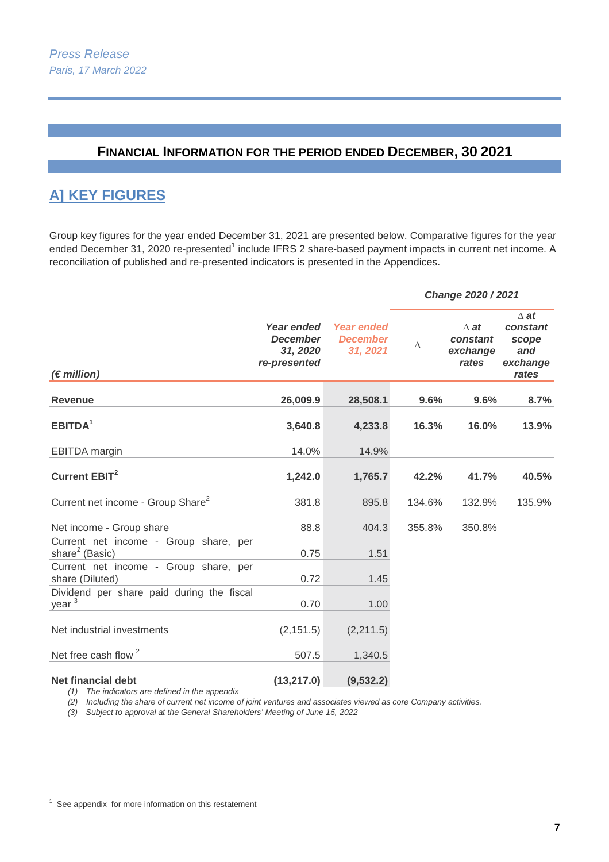### **FINANCIAL INFORMATION FOR THE PERIOD ENDED DECEMBER, 30 2021**

# **A] KEY FIGURES**

Group key figures for the year ended December 31, 2021 are presented below. Comparative figures for the year ended December 31, 2020 re-presented<sup>1</sup> include IFRS 2 share-based payment impacts in current net income. A reconciliation of published and re-presented indicators is presented in the Appendices.

|                                                                |                                                           |                                                  |        | Change 2020 / 2021                           |                                                              |  |  |
|----------------------------------------------------------------|-----------------------------------------------------------|--------------------------------------------------|--------|----------------------------------------------|--------------------------------------------------------------|--|--|
| $(\epsilon$ million)                                           | Year ended<br><b>December</b><br>31, 2020<br>re-presented | <b>Year ended</b><br><b>December</b><br>31, 2021 | Δ      | $\Delta$ at<br>constant<br>exchange<br>rates | $\Delta$ at<br>constant<br>scope<br>and<br>exchange<br>rates |  |  |
| <b>Revenue</b>                                                 | 26,009.9                                                  | 28,508.1                                         | 9.6%   | 9.6%                                         | 8.7%                                                         |  |  |
| EBITDA <sup>1</sup>                                            | 3,640.8                                                   | 4,233.8                                          | 16.3%  | 16.0%                                        | 13.9%                                                        |  |  |
| EBITDA margin                                                  | 14.0%                                                     | 14.9%                                            |        |                                              |                                                              |  |  |
| <b>Current EBIT<sup>2</sup></b>                                | 1,242.0                                                   | 1,765.7                                          | 42.2%  | 41.7%                                        | 40.5%                                                        |  |  |
| Current net income - Group Share <sup>2</sup>                  | 381.8                                                     | 895.8                                            | 134.6% | 132.9%                                       | 135.9%                                                       |  |  |
| Net income - Group share                                       | 88.8                                                      | 404.3                                            | 355.8% | 350.8%                                       |                                                              |  |  |
| Current net income - Group share, per<br>share $2$ (Basic)     | 0.75                                                      | 1.51                                             |        |                                              |                                                              |  |  |
| Current net income - Group share, per<br>share (Diluted)       | 0.72                                                      | 1.45                                             |        |                                              |                                                              |  |  |
| Dividend per share paid during the fiscal<br>year <sup>3</sup> | 0.70                                                      | 1.00                                             |        |                                              |                                                              |  |  |
| Net industrial investments                                     | (2, 151.5)                                                | (2, 211.5)                                       |        |                                              |                                                              |  |  |
| Net free cash flow <sup>2</sup>                                | 507.5                                                     | 1,340.5                                          |        |                                              |                                                              |  |  |
| <b>Net financial debt</b>                                      | (13, 217.0)                                               | (9, 532.2)                                       |        |                                              |                                                              |  |  |

(1) The indicators are defined in the appendix

(2) Including the share of current net income of joint ventures and associates viewed as core Company activities.

(3) Subject to approval at the General Shareholders' Meeting of June 15, 2022

 $1$  See appendix for more information on this restatement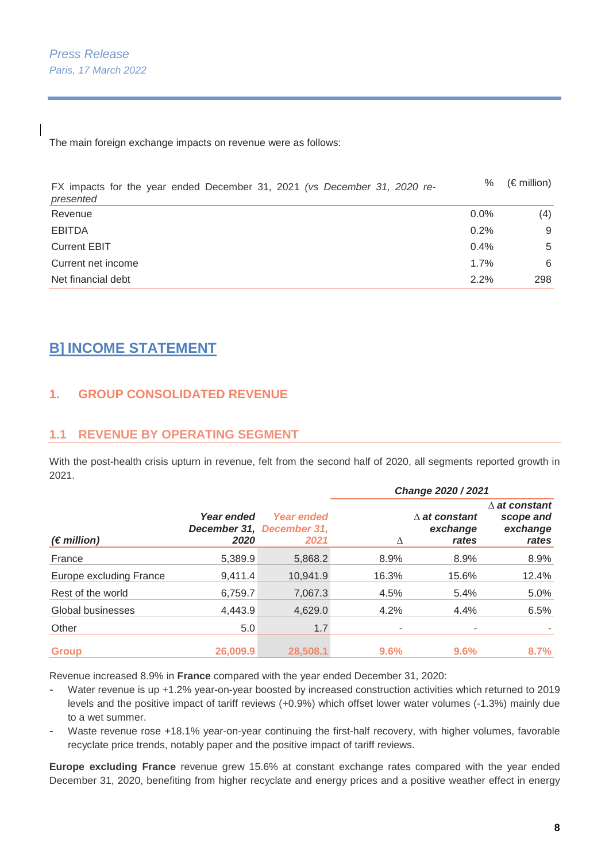The main foreign exchange impacts on revenue were as follows:

| FX impacts for the year ended December 31, 2021 (vs December 31, 2020 re-<br>presented | $\%$    | $(\epsilon$ million) |
|----------------------------------------------------------------------------------------|---------|----------------------|
| Revenue                                                                                | $0.0\%$ | (4)                  |
| <b>EBITDA</b>                                                                          | 0.2%    | 9                    |
| <b>Current EBIT</b>                                                                    | 0.4%    | 5                    |
| Current net income                                                                     | 1.7%    | 6                    |
| Net financial debt                                                                     | 2.2%    | 298                  |

# **B] INCOME STATEMENT**

#### **1. GROUP CONSOLIDATED REVENUE**

#### **1.1 REVENUE BY OPERATING SEGMENT**

With the post-health crisis upturn in revenue, felt from the second half of 2020, all segments reported growth in 2021.

|                         |                    |                                                        | Change 2020 / 2021 |                                           |                                                        |  |
|-------------------------|--------------------|--------------------------------------------------------|--------------------|-------------------------------------------|--------------------------------------------------------|--|
| $(\epsilon$ million)    | Year ended<br>2020 | <b>Year ended</b><br>December 31, December 31,<br>2021 | Δ                  | $\Delta$ at constant<br>exchange<br>rates | $\Delta$ at constant<br>scope and<br>exchange<br>rates |  |
| France                  | 5,389.9            | 5,868.2                                                | 8.9%               | 8.9%                                      | 8.9%                                                   |  |
| Europe excluding France | 9,411.4            | 10,941.9                                               | 16.3%              | 15.6%                                     | 12.4%                                                  |  |
| Rest of the world       | 6,759.7            | 7,067.3                                                | 4.5%               | 5.4%                                      | 5.0%                                                   |  |
| Global businesses       | 4,443.9            | 4,629.0                                                | 4.2%               | 4.4%                                      | 6.5%                                                   |  |
| Other                   | 5.0                | 1.7                                                    |                    |                                           |                                                        |  |
| <b>Group</b>            | 26,009.9           | 28,508.1                                               | 9.6%               | 9.6%                                      | 8.7%                                                   |  |

Revenue increased 8.9% in **France** compared with the year ended December 31, 2020:

- Water revenue is up +1.2% year-on-year boosted by increased construction activities which returned to 2019 levels and the positive impact of tariff reviews (+0.9%) which offset lower water volumes (-1.3%) mainly due to a wet summer.
- Waste revenue rose +18.1% year-on-year continuing the first-half recovery, with higher volumes, favorable recyclate price trends, notably paper and the positive impact of tariff reviews.

**Europe excluding France** revenue grew 15.6% at constant exchange rates compared with the year ended December 31, 2020, benefiting from higher recyclate and energy prices and a positive weather effect in energy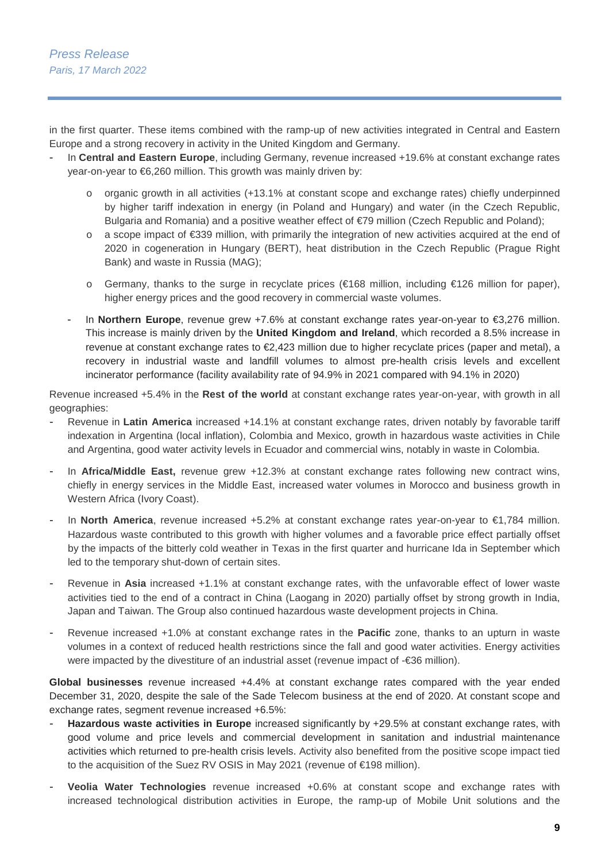in the first quarter. These items combined with the ramp-up of new activities integrated in Central and Eastern Europe and a strong recovery in activity in the United Kingdom and Germany.

- In **Central and Eastern Europe**, including Germany, revenue increased +19.6% at constant exchange rates year-on-year to €6,260 million. This growth was mainly driven by:
	- o organic growth in all activities (+13.1% at constant scope and exchange rates) chiefly underpinned by higher tariff indexation in energy (in Poland and Hungary) and water (in the Czech Republic, Bulgaria and Romania) and a positive weather effect of €79 million (Czech Republic and Poland);
	- o a scope impact of €339 million, with primarily the integration of new activities acquired at the end of 2020 in cogeneration in Hungary (BERT), heat distribution in the Czech Republic (Prague Right Bank) and waste in Russia (MAG);
	- o Germany, thanks to the surge in recyclate prices (€168 million, including €126 million for paper), higher energy prices and the good recovery in commercial waste volumes.
	- In **Northern Europe**, revenue grew +7.6% at constant exchange rates year-on-year to €3,276 million. This increase is mainly driven by the **United Kingdom and Ireland**, which recorded a 8.5% increase in revenue at constant exchange rates to €2,423 million due to higher recyclate prices (paper and metal), a recovery in industrial waste and landfill volumes to almost pre-health crisis levels and excellent incinerator performance (facility availability rate of 94.9% in 2021 compared with 94.1% in 2020)

Revenue increased +5.4% in the **Rest of the world** at constant exchange rates year-on-year, with growth in all geographies:

- Revenue in Latin America increased +14.1% at constant exchange rates, driven notably by favorable tariff indexation in Argentina (local inflation), Colombia and Mexico, growth in hazardous waste activities in Chile and Argentina, good water activity levels in Ecuador and commercial wins, notably in waste in Colombia.
- In **Africa/Middle East,** revenue grew +12.3% at constant exchange rates following new contract wins, chiefly in energy services in the Middle East, increased water volumes in Morocco and business growth in Western Africa (Ivory Coast).
- In **North America**, revenue increased +5.2% at constant exchange rates year-on-year to €1,784 million. Hazardous waste contributed to this growth with higher volumes and a favorable price effect partially offset by the impacts of the bitterly cold weather in Texas in the first quarter and hurricane Ida in September which led to the temporary shut-down of certain sites.
- Revenue in Asia increased +1.1% at constant exchange rates, with the unfavorable effect of lower waste activities tied to the end of a contract in China (Laogang in 2020) partially offset by strong growth in India, Japan and Taiwan. The Group also continued hazardous waste development projects in China.
- Revenue increased +1.0% at constant exchange rates in the **Pacific** zone, thanks to an upturn in waste volumes in a context of reduced health restrictions since the fall and good water activities. Energy activities were impacted by the divestiture of an industrial asset (revenue impact of -€36 million).

**Global businesses** revenue increased +4.4% at constant exchange rates compared with the year ended December 31, 2020, despite the sale of the Sade Telecom business at the end of 2020. At constant scope and exchange rates, segment revenue increased +6.5%:

- **Hazardous waste activities in Europe** increased significantly by +29.5% at constant exchange rates, with good volume and price levels and commercial development in sanitation and industrial maintenance activities which returned to pre-health crisis levels. Activity also benefited from the positive scope impact tied to the acquisition of the Suez RV OSIS in May 2021 (revenue of €198 million).
- **Veolia Water Technologies** revenue increased +0.6% at constant scope and exchange rates with increased technological distribution activities in Europe, the ramp-up of Mobile Unit solutions and the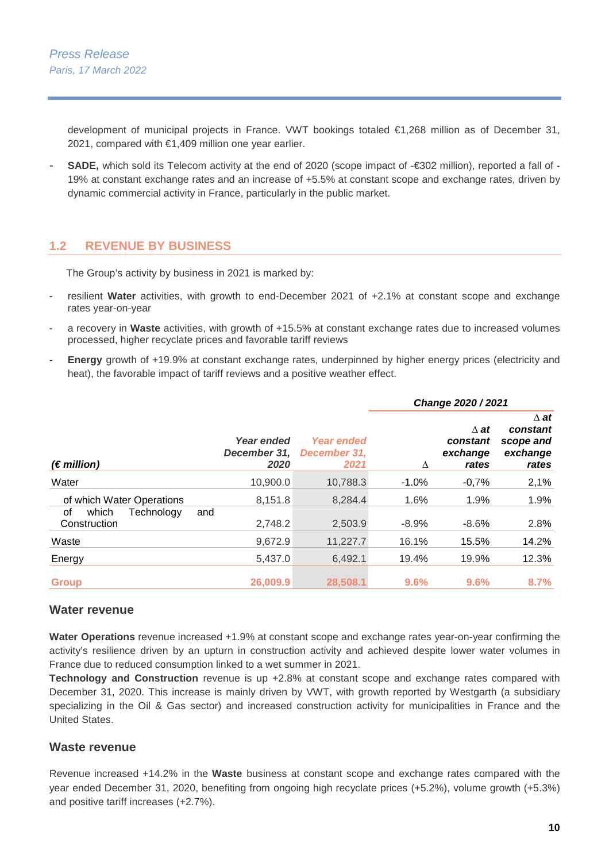development of municipal projects in France. VWT bookings totaled €1,268 million as of December 31, 2021, compared with €1,409 million one year earlier.

**SADE,** which sold its Telecom activity at the end of 2020 (scope impact of -€302 million), reported a fall of -19% at constant exchange rates and an increase of +5.5% at constant scope and exchange rates, driven by dynamic commercial activity in France, particularly in the public market.

### **1.2 REVENUE BY BUSINESS**

The Group's activity by business in 2021 is marked by:

- resilient Water activities, with growth to end-December 2021 of +2.1% at constant scope and exchange rates year-on-year
- a recovery in **Waste** activities, with growth of +15.5% at constant exchange rates due to increased volumes processed, higher recyclate prices and favorable tariff reviews
- **Energy** growth of +19.9% at constant exchange rates, underpinned by higher energy prices (electricity and heat), the favorable impact of tariff reviews and a positive weather effect.

|                                                  |                                    |                                           | Change 2020 / 2021 |                                              |                                                           |
|--------------------------------------------------|------------------------------------|-------------------------------------------|--------------------|----------------------------------------------|-----------------------------------------------------------|
| $(\epsilon$ million)                             | Year ended<br>December 31,<br>2020 | <b>Year ended</b><br>December 31,<br>2021 | Δ                  | $\Delta$ at<br>constant<br>exchange<br>rates | $\Delta$ at<br>constant<br>scope and<br>exchange<br>rates |
| Water                                            | 10,900.0                           | 10,788.3                                  | $-1.0%$            | $-0.7%$                                      | 2,1%                                                      |
| of which Water Operations                        | 8,151.8                            | 8,284.4                                   | 1.6%               | 1.9%                                         | 1.9%                                                      |
| which<br>Technology<br>οf<br>and<br>Construction | 2,748.2                            | 2,503.9                                   | $-8.9%$            | $-8.6%$                                      | 2.8%                                                      |
| Waste                                            | 9,672.9                            | 11,227.7                                  | 16.1%              | 15.5%                                        | 14.2%                                                     |
| Energy                                           | 5,437.0                            | 6,492.1                                   | 19.4%              | 19.9%                                        | 12.3%                                                     |
| <b>Group</b>                                     | 26,009.9                           | 28,508.1                                  | 9.6%               | 9.6%                                         | 8.7%                                                      |

#### **Water revenue**

**Water Operations** revenue increased +1.9% at constant scope and exchange rates year-on-year confirming the activity's resilience driven by an upturn in construction activity and achieved despite lower water volumes in France due to reduced consumption linked to a wet summer in 2021.

**Technology and Construction** revenue is up +2.8% at constant scope and exchange rates compared with December 31, 2020. This increase is mainly driven by VWT, with growth reported by Westgarth (a subsidiary specializing in the Oil & Gas sector) and increased construction activity for municipalities in France and the United States.

#### **Waste revenue**

Revenue increased +14.2% in the **Waste** business at constant scope and exchange rates compared with the year ended December 31, 2020, benefiting from ongoing high recyclate prices (+5.2%), volume growth (+5.3%) and positive tariff increases (+2.7%).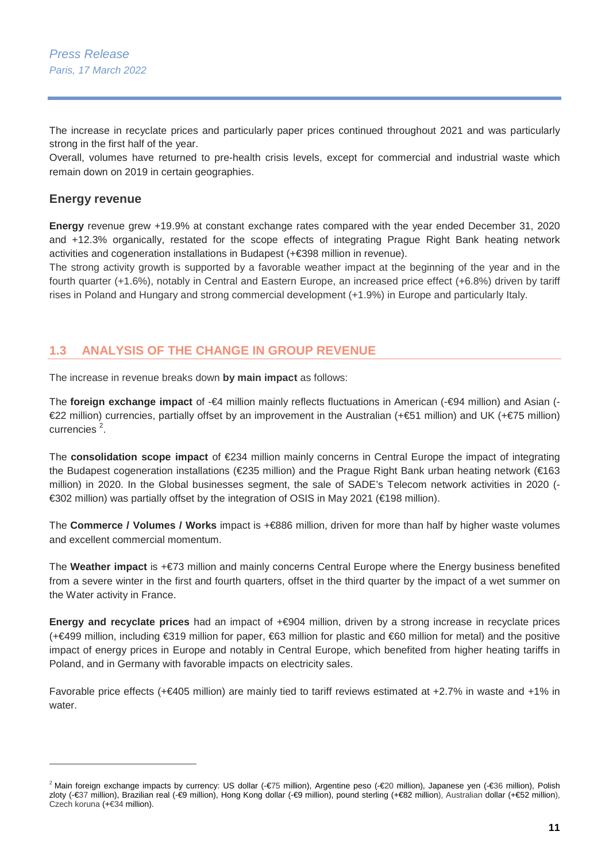The increase in recyclate prices and particularly paper prices continued throughout 2021 and was particularly strong in the first half of the year.

Overall, volumes have returned to pre-health crisis levels, except for commercial and industrial waste which remain down on 2019 in certain geographies.

#### **Energy revenue**

 $\overline{a}$ 

**Energy** revenue grew +19.9% at constant exchange rates compared with the year ended December 31, 2020 and +12.3% organically, restated for the scope effects of integrating Prague Right Bank heating network activities and cogeneration installations in Budapest (+€398 million in revenue).

The strong activity growth is supported by a favorable weather impact at the beginning of the year and in the fourth quarter (+1.6%), notably in Central and Eastern Europe, an increased price effect (+6.8%) driven by tariff rises in Poland and Hungary and strong commercial development (+1.9%) in Europe and particularly Italy.

#### **1.3 ANALYSIS OF THE CHANGE IN GROUP REVENUE**

The increase in revenue breaks down **by main impact** as follows:

The **foreign exchange impact** of -€4 million mainly reflects fluctuations in American (-€94 million) and Asian (- €22 million) currencies, partially offset by an improvement in the Australian (+€51 million) and UK (+€75 million) currencies<sup>2</sup>.

The **consolidation scope impact** of €234 million mainly concerns in Central Europe the impact of integrating the Budapest cogeneration installations (€235 million) and the Prague Right Bank urban heating network (€163 million) in 2020. In the Global businesses segment, the sale of SADE's Telecom network activities in 2020 (- €302 million) was partially offset by the integration of OSIS in May 2021 (€198 million).

The **Commerce / Volumes / Works** impact is +€886 million, driven for more than half by higher waste volumes and excellent commercial momentum.

The **Weather impact** is +€73 million and mainly concerns Central Europe where the Energy business benefited from a severe winter in the first and fourth quarters, offset in the third quarter by the impact of a wet summer on the Water activity in France.

**Energy and recyclate prices** had an impact of +€904 million, driven by a strong increase in recyclate prices (+€499 million, including €319 million for paper, €63 million for plastic and €60 million for metal) and the positive impact of energy prices in Europe and notably in Central Europe, which benefited from higher heating tariffs in Poland, and in Germany with favorable impacts on electricity sales.

Favorable price effects (+€405 million) are mainly tied to tariff reviews estimated at +2.7% in waste and +1% in water.

<sup>&</sup>lt;sup>2</sup> Main foreign exchange impacts by currency: US dollar (-€75 million), Argentine peso (-€20 million), Japanese yen (-€36 million), Polish zloty (-€37 million), Brazilian real (-€9 million), Hong Kong dollar (-€9 million), pound sterling (+€82 million), Australian dollar (+€52 million), Czech koruna (+€34 million).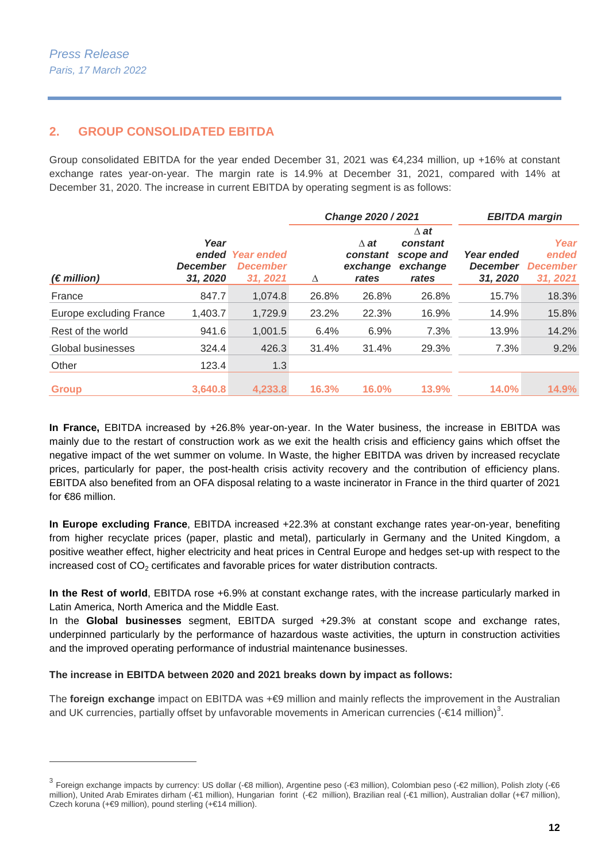$\overline{a}$ 

#### **2. GROUP CONSOLIDATED EBITDA**

Group consolidated EBITDA for the year ended December 31, 2021 was €4,234 million, up +16% at constant exchange rates year-on-year. The margin rate is 14.9% at December 31, 2021, compared with 14% at December 31, 2020. The increase in current EBITDA by operating segment is as follows:

|                         |                                              |                                                  |       | Change 2020 / 2021                           |                                                           |                                           | <b>EBITDA</b> margin                         |
|-------------------------|----------------------------------------------|--------------------------------------------------|-------|----------------------------------------------|-----------------------------------------------------------|-------------------------------------------|----------------------------------------------|
| $(\epsilon$ million)    | Year<br>ended<br><b>December</b><br>31, 2020 | <b>Year ended</b><br><b>December</b><br>31, 2021 | Δ     | $\wedge$ at<br>constant<br>exchange<br>rates | $\Delta$ at<br>constant<br>scope and<br>exchange<br>rates | Year ended<br><b>December</b><br>31, 2020 | Year<br>ended<br><b>December</b><br>31, 2021 |
| France                  | 847.7                                        | 1,074.8                                          | 26.8% | 26.8%                                        | 26.8%                                                     | 15.7%                                     | 18.3%                                        |
| Europe excluding France | 1,403.7                                      | 1,729.9                                          | 23.2% | 22.3%                                        | 16.9%                                                     | 14.9%                                     | 15.8%                                        |
| Rest of the world       | 941.6                                        | 1,001.5                                          | 6.4%  | 6.9%                                         | 7.3%                                                      | 13.9%                                     | 14.2%                                        |
| Global businesses       | 324.4                                        | 426.3                                            | 31.4% | 31.4%                                        | 29.3%                                                     | 7.3%                                      | 9.2%                                         |
| Other                   | 123.4                                        | 1.3                                              |       |                                              |                                                           |                                           |                                              |
| <b>Group</b>            | 3,640.8                                      | 4.233.8                                          | 16.3% | 16.0%                                        | 13.9%                                                     | <b>14.0%</b>                              | 14.9%                                        |

**In France,** EBITDA increased by +26.8% year-on-year. In the Water business, the increase in EBITDA was mainly due to the restart of construction work as we exit the health crisis and efficiency gains which offset the negative impact of the wet summer on volume. In Waste, the higher EBITDA was driven by increased recyclate prices, particularly for paper, the post-health crisis activity recovery and the contribution of efficiency plans. EBITDA also benefited from an OFA disposal relating to a waste incinerator in France in the third quarter of 2021 for €86 million.

**In Europe excluding France**, EBITDA increased +22.3% at constant exchange rates year-on-year, benefiting from higher recyclate prices (paper, plastic and metal), particularly in Germany and the United Kingdom, a positive weather effect, higher electricity and heat prices in Central Europe and hedges set-up with respect to the increased cost of  $CO<sub>2</sub>$  certificates and favorable prices for water distribution contracts.

**In the Rest of world**, EBITDA rose +6.9% at constant exchange rates, with the increase particularly marked in Latin America, North America and the Middle East.

In the **Global businesses** segment, EBITDA surged +29.3% at constant scope and exchange rates, underpinned particularly by the performance of hazardous waste activities, the upturn in construction activities and the improved operating performance of industrial maintenance businesses.

#### **The increase in EBITDA between 2020 and 2021 breaks down by impact as follows:**

The **foreign exchange** impact on EBITDA was +€9 million and mainly reflects the improvement in the Australian and UK currencies, partially offset by unfavorable movements in American currencies (-€14 million)<sup>3</sup>.

<sup>&</sup>lt;sup>3</sup> Foreign exchange impacts by currency: US dollar (-€8 million), Argentine peso (-€3 million), Colombian peso (-€2 million), Polish zloty (-€6 million), United Arab Emirates dirham (-€1 million), Hungarian forint (-€2 million), Brazilian real (-€1 million), Australian dollar (+€7 million), Czech koruna (+€9 million), pound sterling (+€14 million).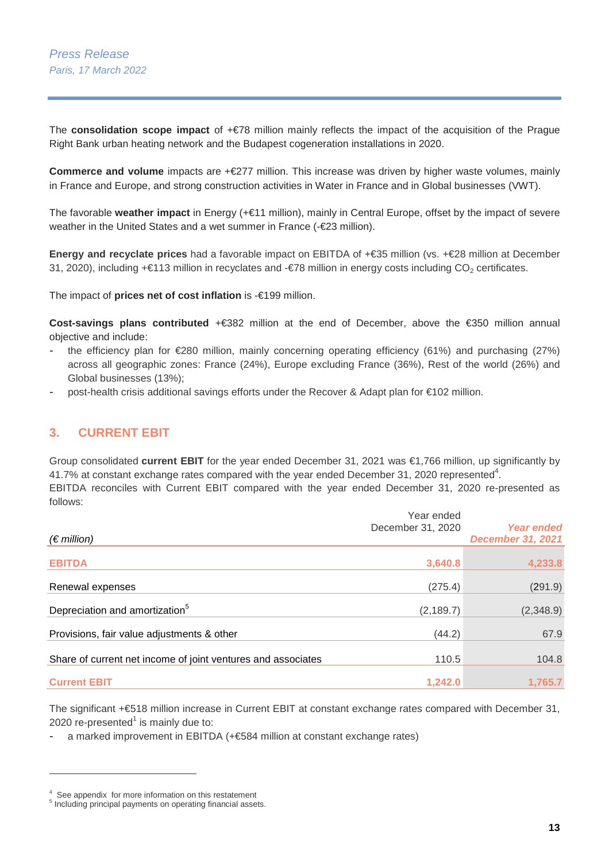The **consolidation scope impact** of +€78 million mainly reflects the impact of the acquisition of the Prague Right Bank urban heating network and the Budapest cogeneration installations in 2020.

**Commerce and volume** impacts are +€277 million. This increase was driven by higher waste volumes, mainly in France and Europe, and strong construction activities in Water in France and in Global businesses (VWT).

The favorable **weather impact** in Energy (+€11 million), mainly in Central Europe, offset by the impact of severe weather in the United States and a wet summer in France (-€23 million).

**Energy and recyclate prices** had a favorable impact on EBITDA of +€35 million (vs. +€28 million at December 31, 2020), including +€113 million in recyclates and -€78 million in energy costs including CO<sub>2</sub> certificates.

The impact of **prices net of cost inflation** is -€199 million.

**Cost-savings plans contributed** +€382 million at the end of December, above the €350 million annual objective and include:

- the efficiency plan for  $\epsilon$ 280 million, mainly concerning operating efficiency (61%) and purchasing (27%) across all geographic zones: France (24%), Europe excluding France (36%), Rest of the world (26%) and Global businesses (13%);
- post-health crisis additional savings efforts under the Recover & Adapt plan for €102 million.

#### **3. CURRENT EBIT**

Group consolidated **current EBIT** for the year ended December 31, 2021 was €1,766 million, up significantly by 41.7% at constant exchange rates compared with the year ended December 31, 2020 represented<sup>4</sup>. EBITDA reconciles with Current EBIT compared with the year ended December 31, 2020 re-presented as follows:

|                                                              | Year ended        |                          |
|--------------------------------------------------------------|-------------------|--------------------------|
|                                                              | December 31, 2020 | <b>Year ended</b>        |
| (€ million)                                                  |                   | <b>December 31, 2021</b> |
|                                                              |                   |                          |
| <b>EBITDA</b>                                                | 3,640.8           | 4,233.8                  |
|                                                              |                   |                          |
| Renewal expenses                                             | (275.4)           | (291.9)                  |
|                                                              |                   |                          |
| Depreciation and amortization <sup>5</sup>                   | (2, 189.7)        | (2,348.9)                |
|                                                              |                   |                          |
| Provisions, fair value adjustments & other                   | (44.2)            | 67.9                     |
|                                                              |                   |                          |
| Share of current net income of joint ventures and associates | 110.5             | 104.8                    |
|                                                              |                   |                          |
| <b>Current EBIT</b>                                          | 1,242.0           | 1,765.7                  |

The significant +€518 million increase in Current EBIT at constant exchange rates compared with December 31, 2020 re-presented $1$  is mainly due to:

a marked improvement in EBITDA (+€584 million at constant exchange rates)

<sup>&</sup>lt;sup>4</sup> See appendix for more information on this restatement

<sup>&</sup>lt;sup>5</sup> Including principal payments on operating financial assets.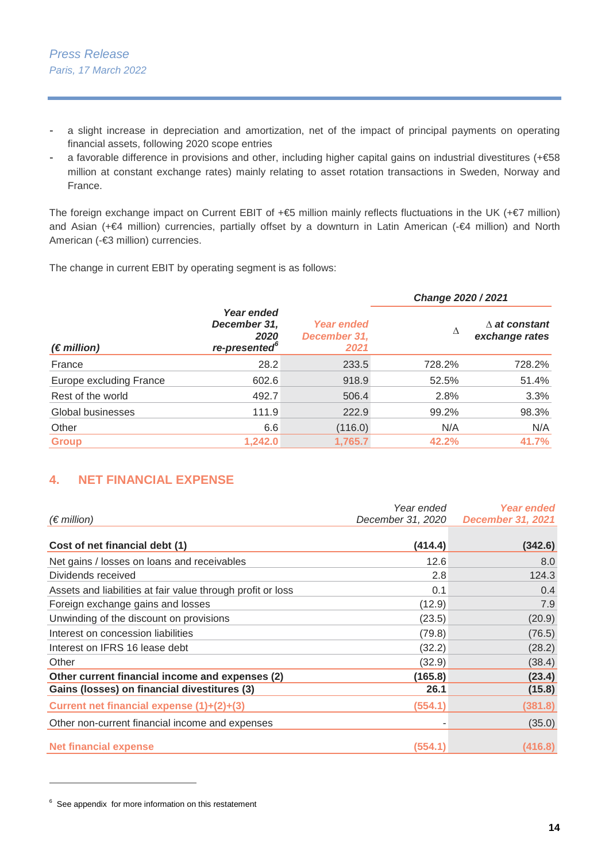- a slight increase in depreciation and amortization, net of the impact of principal payments on operating financial assets, following 2020 scope entries
- a favorable difference in provisions and other, including higher capital gains on industrial divestitures (+€58 million at constant exchange rates) mainly relating to asset rotation transactions in Sweden, Norway and France.

The foreign exchange impact on Current EBIT of +€5 million mainly reflects fluctuations in the UK (+€7 million) and Asian (+€4 million) currencies, partially offset by a downturn in Latin American (-€4 million) and North American (-€3 million) currencies.

The change in current EBIT by operating segment is as follows:

|                         |                                                                        |                                           | Change 2020 / 2021 |                                        |
|-------------------------|------------------------------------------------------------------------|-------------------------------------------|--------------------|----------------------------------------|
| $(\epsilon$ million)    | <b>Year ended</b><br>December 31,<br>2020<br>re-presented <sup>o</sup> | <b>Year ended</b><br>December 31,<br>2021 | Δ                  | $\Delta$ at constant<br>exchange rates |
| France                  | 28.2                                                                   | 233.5                                     | 728.2%             | 728.2%                                 |
| Europe excluding France | 602.6                                                                  | 918.9                                     | 52.5%              | 51.4%                                  |
| Rest of the world       | 492.7                                                                  | 506.4                                     | 2.8%               | 3.3%                                   |
| Global businesses       | 111.9                                                                  | 222.9                                     | 99.2%              | 98.3%                                  |
| Other                   | 6.6                                                                    | (116.0)                                   | N/A                | N/A                                    |
| <b>Group</b>            | 1,242.0                                                                | 1,765.7                                   | 42.2%              | 41.7%                                  |

### **4. NET FINANCIAL EXPENSE**

|                                                             | Year ended        | <b>Year ended</b>        |
|-------------------------------------------------------------|-------------------|--------------------------|
| $(\epsilon$ million)                                        | December 31, 2020 | <b>December 31, 2021</b> |
| Cost of net financial debt (1)                              | (414.4)           | (342.6)                  |
| Net gains / losses on loans and receivables                 | 12.6              | 8.0                      |
| Dividends received                                          | 2.8               | 124.3                    |
| Assets and liabilities at fair value through profit or loss | 0.1               | 0.4                      |
| Foreign exchange gains and losses                           | (12.9)            | 7.9                      |
| Unwinding of the discount on provisions                     | (23.5)            | (20.9)                   |
| Interest on concession liabilities                          | (79.8)            | (76.5)                   |
| Interest on IFRS 16 lease debt                              | (32.2)            | (28.2)                   |
| Other                                                       | (32.9)            | (38.4)                   |
| Other current financial income and expenses (2)             | (165.8)           | (23.4)                   |
| Gains (losses) on financial divestitures (3)                | 26.1              | (15.8)                   |
| Current net financial expense (1)+(2)+(3)                   | (554.1)           | (381.8)                  |
| Other non-current financial income and expenses             |                   | (35.0)                   |
| <b>Net financial expense</b>                                | (554.1)           | (416.8)                  |

 $6$  See appendix for more information on this restatement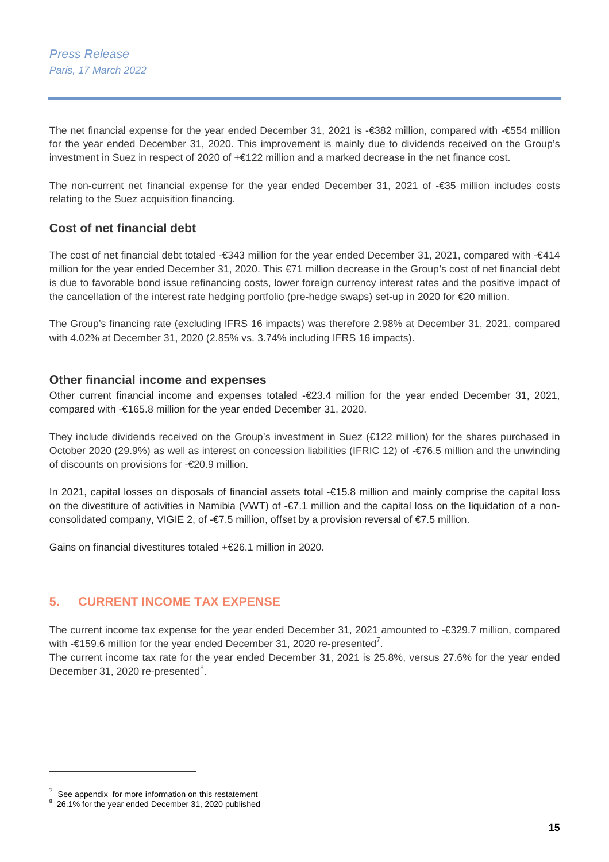The net financial expense for the year ended December 31, 2021 is -€382 million, compared with -€554 million for the year ended December 31, 2020. This improvement is mainly due to dividends received on the Group's investment in Suez in respect of 2020 of +€122 million and a marked decrease in the net finance cost.

The non-current net financial expense for the year ended December 31, 2021 of -€35 million includes costs relating to the Suez acquisition financing.

#### **Cost of net financial debt**

The cost of net financial debt totaled -€343 million for the year ended December 31, 2021, compared with -€414 million for the year ended December 31, 2020. This €71 million decrease in the Group's cost of net financial debt is due to favorable bond issue refinancing costs, lower foreign currency interest rates and the positive impact of the cancellation of the interest rate hedging portfolio (pre-hedge swaps) set-up in 2020 for €20 million.

The Group's financing rate (excluding IFRS 16 impacts) was therefore 2.98% at December 31, 2021, compared with 4.02% at December 31, 2020 (2.85% vs. 3.74% including IFRS 16 impacts).

#### **Other financial income and expenses**

Other current financial income and expenses totaled -€23.4 million for the year ended December 31, 2021, compared with -€165.8 million for the year ended December 31, 2020.

They include dividends received on the Group's investment in Suez (€122 million) for the shares purchased in October 2020 (29.9%) as well as interest on concession liabilities (IFRIC 12) of -€76.5 million and the unwinding of discounts on provisions for -€20.9 million.

In 2021, capital losses on disposals of financial assets total -€15.8 million and mainly comprise the capital loss on the divestiture of activities in Namibia (VWT) of -€7.1 million and the capital loss on the liquidation of a nonconsolidated company, VIGIE 2, of -€7.5 million, offset by a provision reversal of  $\epsilon$ 7.5 million.

Gains on financial divestitures totaled +€26.1 million in 2020.

### **5. CURRENT INCOME TAX EXPENSE**

The current income tax expense for the year ended December 31, 2021 amounted to -€329.7 million, compared with -€159.6 million for the year ended December 31, 2020 re-presented<sup>7</sup>.

The current income tax rate for the year ended December 31, 2021 is 25.8%, versus 27.6% for the year ended December 31, 2020 re-presented<sup>8</sup>.

<sup>7</sup> See appendix for more information on this restatement

<sup>8</sup> 26.1% for the year ended December 31, 2020 published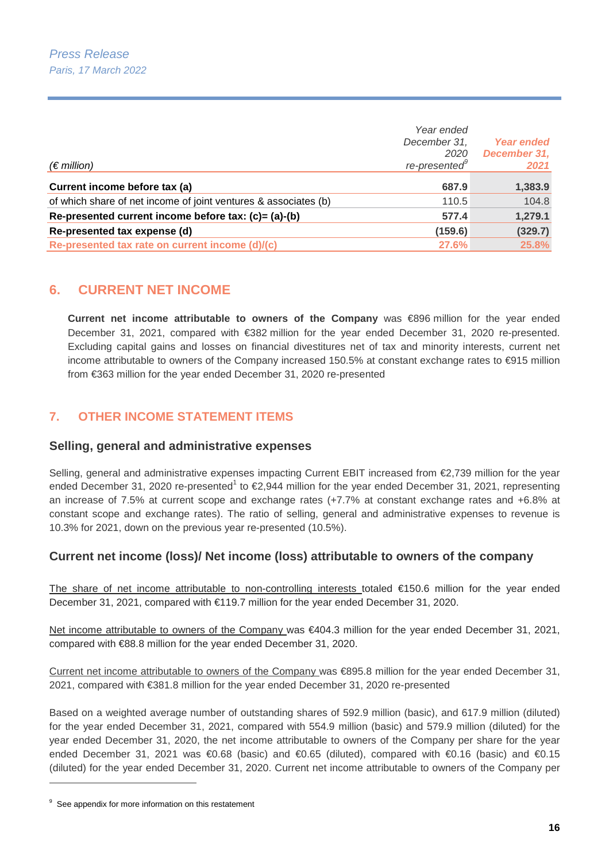|                                                                 | Year ended   |              |
|-----------------------------------------------------------------|--------------|--------------|
|                                                                 | December 31, | Year ended   |
|                                                                 | 2020         | December 31, |
| (€ million)                                                     | re-presented | 2021         |
|                                                                 |              |              |
| Current income before tax (a)                                   | 687.9        | 1,383.9      |
| of which share of net income of joint ventures & associates (b) | 110.5        | 104.8        |
| Re-presented current income before tax: $(c) = (a)-(b)$         | 577.4        | 1,279.1      |
| Re-presented tax expense (d)                                    | (159.6)      | (329.7)      |
| Re-presented tax rate on current income (d)/(c)                 | 27.6%        | 25.8%        |

## **6. CURRENT NET INCOME**

**Current net income attributable to owners of the Company** was €896 million for the year ended December 31, 2021, compared with €382 million for the year ended December 31, 2020 re-presented. Excluding capital gains and losses on financial divestitures net of tax and minority interests, current net income attributable to owners of the Company increased 150.5% at constant exchange rates to €915 million from €363 million for the year ended December 31, 2020 re-presented

### **7. OTHER INCOME STATEMENT ITEMS**

#### **Selling, general and administrative expenses**

Selling, general and administrative expenses impacting Current EBIT increased from €2,739 million for the year ended December 31, 2020 re-presented<sup>1</sup> to €2,944 million for the year ended December 31, 2021, representing an increase of 7.5% at current scope and exchange rates (+7.7% at constant exchange rates and +6.8% at constant scope and exchange rates). The ratio of selling, general and administrative expenses to revenue is 10.3% for 2021, down on the previous year re-presented (10.5%).

#### **Current net income (loss)/ Net income (loss) attributable to owners of the company**

The share of net income attributable to non-controlling interests totaled €150.6 million for the year ended December 31, 2021, compared with €119.7 million for the year ended December 31, 2020.

Net income attributable to owners of the Company was €404.3 million for the year ended December 31, 2021, compared with €88.8 million for the year ended December 31, 2020.

Current net income attributable to owners of the Company was €895.8 million for the year ended December 31, 2021, compared with €381.8 million for the year ended December 31, 2020 re-presented

Based on a weighted average number of outstanding shares of 592.9 million (basic), and 617.9 million (diluted) for the year ended December 31, 2021, compared with 554.9 million (basic) and 579.9 million (diluted) for the year ended December 31, 2020, the net income attributable to owners of the Company per share for the year ended December 31, 2021 was €0.68 (basic) and €0.65 (diluted), compared with €0.16 (basic) and €0.15 (diluted) for the year ended December 31, 2020. Current net income attributable to owners of the Company per

<sup>&</sup>lt;sup>9</sup> See appendix for more information on this restatement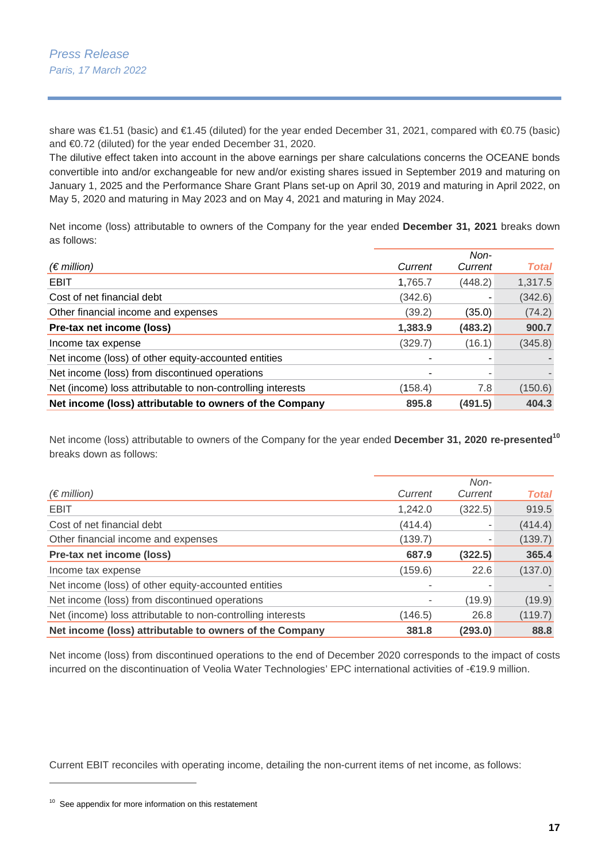share was €1.51 (basic) and €1.45 (diluted) for the year ended December 31, 2021, compared with €0.75 (basic) and €0.72 (diluted) for the year ended December 31, 2020.

The dilutive effect taken into account in the above earnings per share calculations concerns the OCEANE bonds convertible into and/or exchangeable for new and/or existing shares issued in September 2019 and maturing on January 1, 2025 and the Performance Share Grant Plans set-up on April 30, 2019 and maturing in April 2022, on May 5, 2020 and maturing in May 2023 and on May 4, 2021 and maturing in May 2024.

Net income (loss) attributable to owners of the Company for the year ended **December 31, 2021** breaks down as follows:

|                                                             |         | Non-    |              |
|-------------------------------------------------------------|---------|---------|--------------|
| (€ million)                                                 | Current | Current | <b>Total</b> |
| <b>EBIT</b>                                                 | 1,765.7 | (448.2) | 1,317.5      |
| Cost of net financial debt                                  | (342.6) |         | (342.6)      |
| Other financial income and expenses                         | (39.2)  | (35.0)  | (74.2)       |
| Pre-tax net income (loss)                                   | 1,383.9 | (483.2) | 900.7        |
| Income tax expense                                          | (329.7) | (16.1)  | (345.8)      |
| Net income (loss) of other equity-accounted entities        |         |         |              |
| Net income (loss) from discontinued operations              | ۰       |         |              |
| Net (income) loss attributable to non-controlling interests | (158.4) | 7.8     | (150.6)      |
| Net income (loss) attributable to owners of the Company     | 895.8   | (491.5) | 404.3        |

Net income (loss) attributable to owners of the Company for the year ended **December 31, 2020 re-presented<sup>10</sup>** breaks down as follows:

|                                                             |         | Non-    |              |
|-------------------------------------------------------------|---------|---------|--------------|
| $(\epsilon$ million)                                        | Current | Current | <b>Total</b> |
| EBIT                                                        | 1,242.0 | (322.5) | 919.5        |
| Cost of net financial debt                                  | (414.4) |         | (414.4)      |
| Other financial income and expenses                         | (139.7) |         | (139.7)      |
| Pre-tax net income (loss)                                   | 687.9   | (322.5) | 365.4        |
| Income tax expense                                          | (159.6) | 22.6    | (137.0)      |
| Net income (loss) of other equity-accounted entities        | ٠       |         |              |
| Net income (loss) from discontinued operations              | ۰       | (19.9)  | (19.9)       |
| Net (income) loss attributable to non-controlling interests | (146.5) | 26.8    | (119.7)      |
| Net income (loss) attributable to owners of the Company     | 381.8   | (293.0) | 88.8         |

Net income (loss) from discontinued operations to the end of December 2020 corresponds to the impact of costs incurred on the discontinuation of Veolia Water Technologies' EPC international activities of -€19.9 million.

Current EBIT reconciles with operating income, detailing the non-current items of net income, as follows:

 $10<sup>10</sup>$  See appendix for more information on this restatement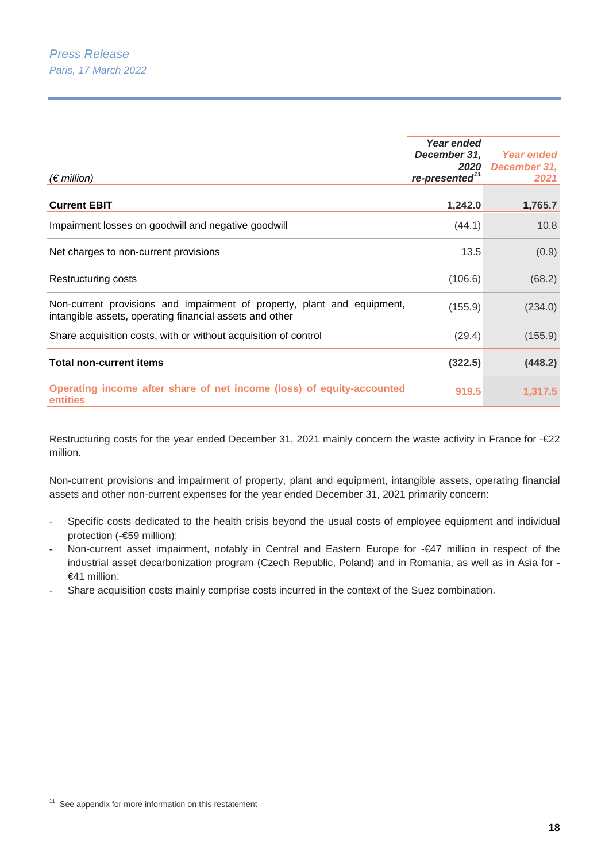| $(\epsilon$ million)                                                                                                               | Year ended<br>December 31,<br>2020<br>re-presented <sup>11</sup> | <b>Year ended</b><br>December 31,<br>2021 |
|------------------------------------------------------------------------------------------------------------------------------------|------------------------------------------------------------------|-------------------------------------------|
| <b>Current EBIT</b>                                                                                                                | 1,242.0                                                          | 1,765.7                                   |
| Impairment losses on goodwill and negative goodwill                                                                                | (44.1)                                                           | 10.8                                      |
| Net charges to non-current provisions                                                                                              | 13.5                                                             | (0.9)                                     |
| Restructuring costs                                                                                                                | (106.6)                                                          | (68.2)                                    |
| Non-current provisions and impairment of property, plant and equipment,<br>intangible assets, operating financial assets and other | (155.9)                                                          | (234.0)                                   |
| Share acquisition costs, with or without acquisition of control                                                                    | (29.4)                                                           | (155.9)                                   |
| <b>Total non-current items</b>                                                                                                     | (322.5)                                                          | (448.2)                                   |
| Operating income after share of net income (loss) of equity-accounted<br>entities                                                  | 919.5                                                            | 1,317.5                                   |

Restructuring costs for the year ended December 31, 2021 mainly concern the waste activity in France for -€22 million.

Non-current provisions and impairment of property, plant and equipment, intangible assets, operating financial assets and other non-current expenses for the year ended December 31, 2021 primarily concern:

- Specific costs dedicated to the health crisis beyond the usual costs of employee equipment and individual protection (-€59 million);
- Non-current asset impairment, notably in Central and Eastern Europe for -€47 million in respect of the industrial asset decarbonization program (Czech Republic, Poland) and in Romania, as well as in Asia for - €41 million.
- Share acquisition costs mainly comprise costs incurred in the context of the Suez combination.

 $11$  See appendix for more information on this restatement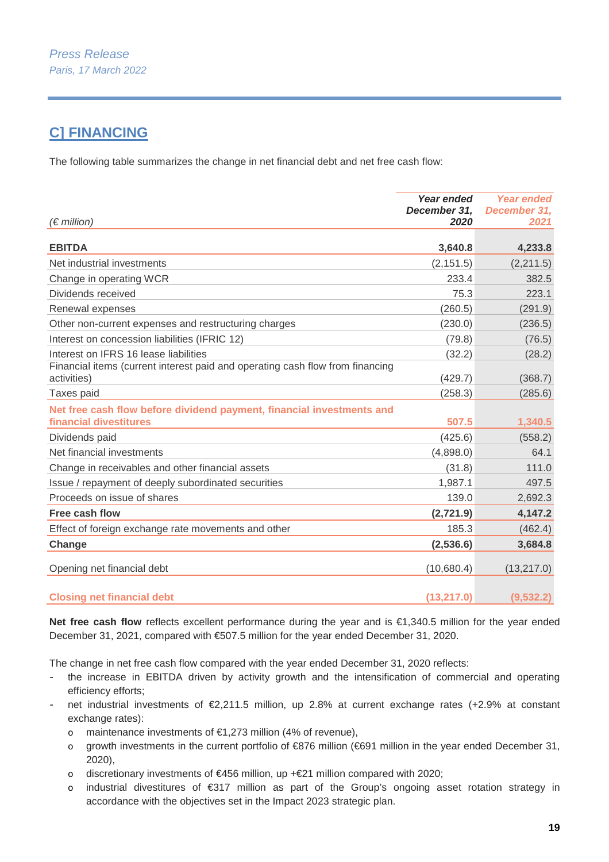# **C] FINANCING**

The following table summarizes the change in net financial debt and net free cash flow:

|                                                                               | Year ended   | <b>Year ended</b> |
|-------------------------------------------------------------------------------|--------------|-------------------|
|                                                                               | December 31, | December 31,      |
| $(\epsilon$ million)                                                          | 2020         | 2021              |
| <b>EBITDA</b>                                                                 | 3,640.8      | 4,233.8           |
| Net industrial investments                                                    |              | (2,211.5)         |
|                                                                               | (2, 151.5)   |                   |
| Change in operating WCR                                                       | 233.4        | 382.5             |
| Dividends received                                                            | 75.3         | 223.1             |
| Renewal expenses                                                              | (260.5)      | (291.9)           |
| Other non-current expenses and restructuring charges                          | (230.0)      | (236.5)           |
| Interest on concession liabilities (IFRIC 12)                                 | (79.8)       | (76.5)            |
| Interest on IFRS 16 lease liabilities                                         | (32.2)       | (28.2)            |
| Financial items (current interest paid and operating cash flow from financing |              |                   |
| activities)                                                                   | (429.7)      | (368.7)           |
| Taxes paid                                                                    | (258.3)      | (285.6)           |
| Net free cash flow before dividend payment, financial investments and         |              |                   |
| financial divestitures                                                        | 507.5        | 1,340.5           |
| Dividends paid                                                                | (425.6)      | (558.2)           |
| Net financial investments                                                     | (4,898.0)    | 64.1              |
| Change in receivables and other financial assets                              | (31.8)       | 111.0             |
| Issue / repayment of deeply subordinated securities                           | 1,987.1      | 497.5             |
| Proceeds on issue of shares                                                   | 139.0        | 2,692.3           |
| Free cash flow                                                                | (2,721.9)    | 4,147.2           |
| Effect of foreign exchange rate movements and other                           | 185.3        | (462.4)           |
| Change                                                                        | (2,536.6)    | 3,684.8           |
| Opening net financial debt                                                    | (10,680.4)   | (13, 217.0)       |
| <b>Closing net financial debt</b>                                             | (13, 217.0)  | (9, 532.2)        |

**Net free cash flow** reflects excellent performance during the year and is €1,340.5 million for the year ended December 31, 2021, compared with €507.5 million for the year ended December 31, 2020.

The change in net free cash flow compared with the year ended December 31, 2020 reflects:

- the increase in EBITDA driven by activity growth and the intensification of commercial and operating efficiency efforts;
- net industrial investments of €2,211.5 million, up 2.8% at current exchange rates (+2.9% at constant exchange rates):
	- o maintenance investments of €1,273 million (4% of revenue),
	- o growth investments in the current portfolio of €876 million (€691 million in the year ended December 31, 2020),
	- o discretionary investments of €456 million, up +€21 million compared with 2020;
	- o industrial divestitures of €317 million as part of the Group's ongoing asset rotation strategy in accordance with the objectives set in the Impact 2023 strategic plan.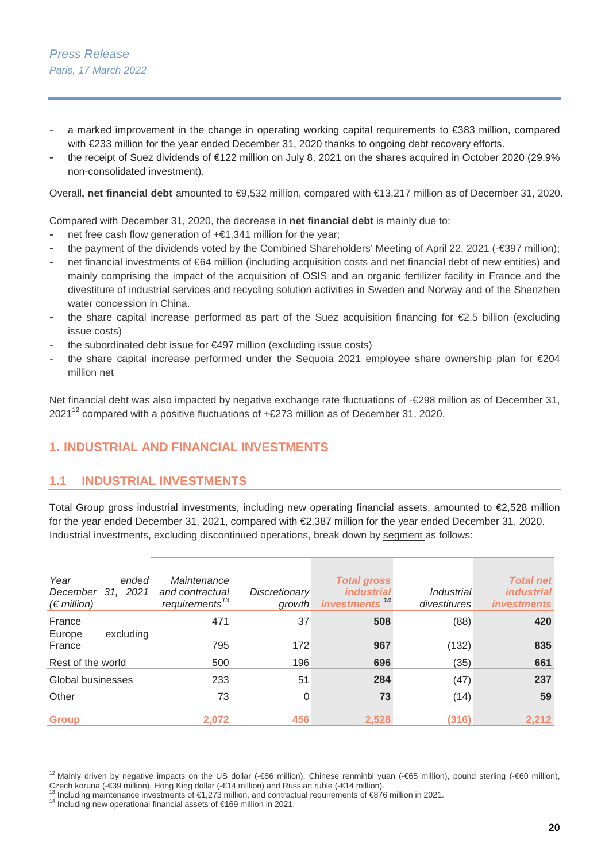- a marked improvement in the change in operating working capital requirements to €383 million, compared with €233 million for the year ended December 31, 2020 thanks to ongoing debt recovery efforts.
- the receipt of Suez dividends of €122 million on July 8, 2021 on the shares acquired in October 2020 (29.9% non-consolidated investment).

Overall**, net financial debt** amounted to €9,532 million, compared with €13,217 million as of December 31, 2020.

Compared with December 31, 2020, the decrease in **net financial debt** is mainly due to:

- net free cash flow generation of  $+ \in 1,341$  million for the year;
- the payment of the dividends voted by the Combined Shareholders' Meeting of April 22, 2021 (-€397 million);
- net financial investments of €64 million (including acquisition costs and net financial debt of new entities) and mainly comprising the impact of the acquisition of OSIS and an organic fertilizer facility in France and the divestiture of industrial services and recycling solution activities in Sweden and Norway and of the Shenzhen water concession in China.
- the share capital increase performed as part of the Suez acquisition financing for €2.5 billion (excluding issue costs)
- the subordinated debt issue for  $€497$  million (excluding issue costs)
- the share capital increase performed under the Sequoia 2021 employee share ownership plan for  $\epsilon$ 204 million net

Net financial debt was also impacted by negative exchange rate fluctuations of -€298 million as of December 31, 2021<sup>12</sup> compared with a positive fluctuations of  $+€273$  million as of December 31, 2020.

#### **1. INDUSTRIAL AND FINANCIAL INVESTMENTS**

#### **1.1 INDUSTRIAL INVESTMENTS**

Total Group gross industrial investments, including new operating financial assets, amounted to €2,528 million for the year ended December 31, 2021, compared with €2,387 million for the year ended December 31, 2020. Industrial investments, excluding discontinued operations, break down by segment as follows:

| Year<br>December 31, 2021<br>(€ million) | ended     | Maintenance<br>and contractual<br>requirements <sup>13</sup> | Discretionary<br>growth | <b>Total gross</b><br><i>industrial</i><br>investments <sup>14</sup> | Industrial<br>divestitures | <b>Total net</b><br><i><b>industrial</b></i><br><i>investments</i> |
|------------------------------------------|-----------|--------------------------------------------------------------|-------------------------|----------------------------------------------------------------------|----------------------------|--------------------------------------------------------------------|
| France                                   |           | 471                                                          | 37                      | 508                                                                  | (88)                       | 420                                                                |
| Europe<br>France                         | excluding | 795                                                          | 172                     | 967                                                                  | (132)                      | 835                                                                |
| Rest of the world                        |           | 500                                                          | 196                     | 696                                                                  | (35)                       | 661                                                                |
| Global businesses                        |           | 233                                                          | 51                      | 284                                                                  | (47)                       | 237                                                                |
| Other                                    |           | 73                                                           | 0                       | 73                                                                   | (14)                       | 59                                                                 |
| <b>Group</b>                             |           | 2,072                                                        | 456                     | 2,528                                                                | (316)                      | 2,212                                                              |

<sup>&</sup>lt;sup>12</sup> Mainly driven by negative impacts on the US dollar (-€86 million), Chinese renminbi yuan (-€65 million), pound sterling (-€60 million), Czech koruna (-€39 million), Hong King dollar (-€14 million) and Russian ruble (-€14 million).

<sup>13</sup> Including maintenance investments of €1,273 million, and contractual requirements of €876 million in 2021.

<sup>14</sup> Including new operational financial assets of €169 million in 2021.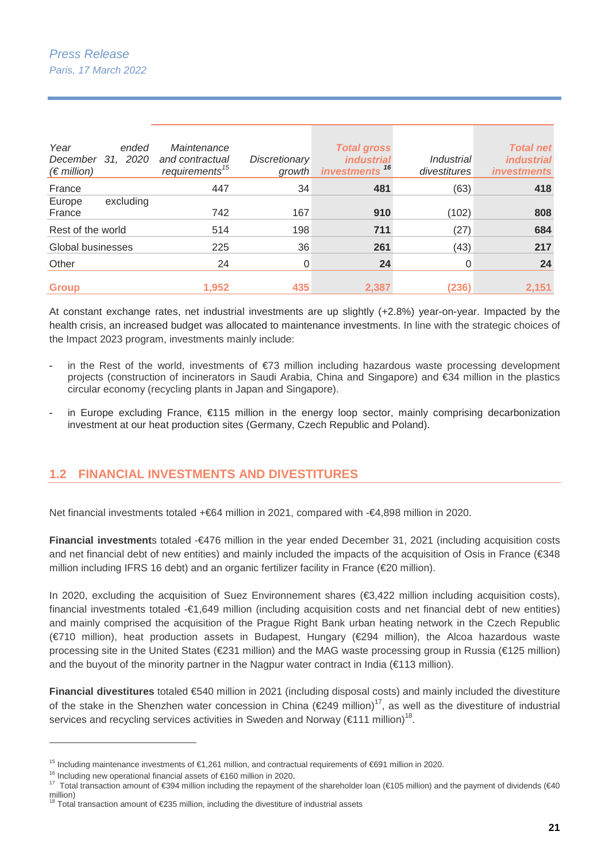| Year<br>December 31, 2020<br>(€ million) | ended     | Maintenance<br>and contractual<br>requirements <sup>15</sup> | Discretionary<br>growth | <b>Total gross</b><br><i><b>industrial</b></i><br>investments <sup>16</sup> | Industrial<br>divestitures | <b>Total net</b><br><i>industrial</i><br><i>investments</i> |
|------------------------------------------|-----------|--------------------------------------------------------------|-------------------------|-----------------------------------------------------------------------------|----------------------------|-------------------------------------------------------------|
| France                                   |           | 447                                                          | 34                      | 481                                                                         | (63)                       | 418                                                         |
| Europe<br>France                         | excluding | 742                                                          | 167                     | 910                                                                         | (102)                      | 808                                                         |
| Rest of the world                        |           | 514                                                          | 198                     | 711                                                                         | (27)                       | 684                                                         |
| Global businesses                        |           | 225                                                          | 36                      | 261                                                                         | (43)                       | 217                                                         |
| Other                                    |           | 24                                                           | 0                       | 24                                                                          | 0                          | 24                                                          |
| <b>Group</b>                             |           | 1,952                                                        | 435                     | 2,387                                                                       | (236)                      | 2,151                                                       |

At constant exchange rates, net industrial investments are up slightly (+2.8%) year-on-year. Impacted by the health crisis, an increased budget was allocated to maintenance investments. In line with the strategic choices of the Impact 2023 program, investments mainly include:

- in the Rest of the world, investments of  $\epsilon$ 73 million including hazardous waste processing development projects (construction of incinerators in Saudi Arabia, China and Singapore) and €34 million in the plastics circular economy (recycling plants in Japan and Singapore).
- in Europe excluding France,  $\epsilon$ 115 million in the energy loop sector, mainly comprising decarbonization investment at our heat production sites (Germany, Czech Republic and Poland).

### **1.2 FINANCIAL INVESTMENTS AND DIVESTITURES**

Net financial investments totaled +€64 million in 2021, compared with -€4,898 million in 2020.

**Financial investment**s totaled -€476 million in the year ended December 31, 2021 (including acquisition costs and net financial debt of new entities) and mainly included the impacts of the acquisition of Osis in France (€348 million including IFRS 16 debt) and an organic fertilizer facility in France (€20 million).

In 2020, excluding the acquisition of Suez Environnement shares (€3,422 million including acquisition costs), financial investments totaled -€1,649 million (including acquisition costs and net financial debt of new entities) and mainly comprised the acquisition of the Prague Right Bank urban heating network in the Czech Republic (€710 million), heat production assets in Budapest, Hungary (€294 million), the Alcoa hazardous waste processing site in the United States (€231 million) and the MAG waste processing group in Russia (€125 million) and the buyout of the minority partner in the Nagpur water contract in India (€113 million).

**Financial divestitures** totaled €540 million in 2021 (including disposal costs) and mainly included the divestiture of the stake in the Shenzhen water concession in China ( $\epsilon$ 249 million)<sup>17</sup>, as well as the divestiture of industrial services and recycling services activities in Sweden and Norway (€111 million)<sup>18</sup>.

<sup>15</sup> Including maintenance investments of €1,261 million, and contractual requirements of €691 million in 2020.

<sup>16</sup> Including new operational financial assets of €160 million in 2020.

<sup>17</sup> Total transaction amount of €394 million including the repayment of the shareholder loan (€105 million) and the payment of dividends (€40 million)

<sup>&</sup>lt;sup>8</sup> Total transaction amount of €235 million, including the divestiture of industrial assets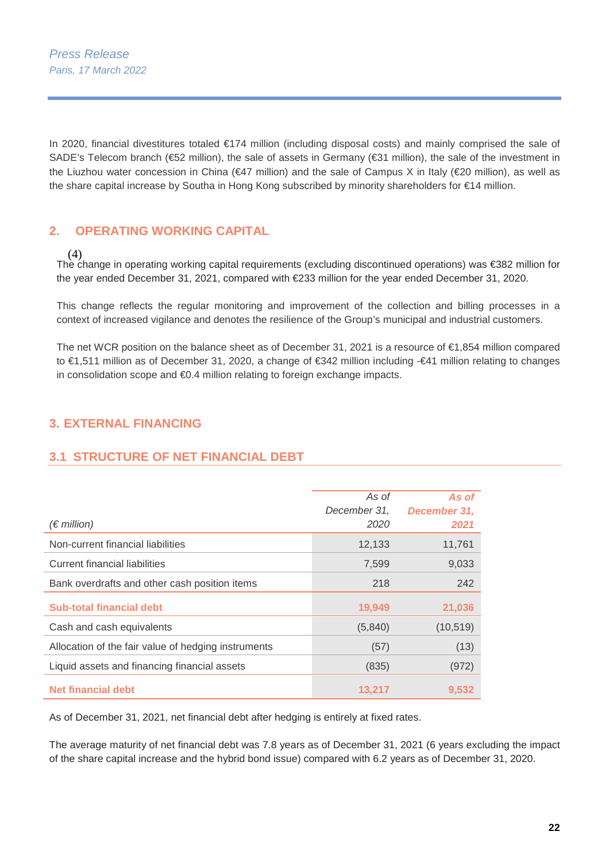In 2020, financial divestitures totaled €174 million (including disposal costs) and mainly comprised the sale of SADE's Telecom branch (€52 million), the sale of assets in Germany (€31 million), the sale of the investment in the Liuzhou water concession in China (€47 million) and the sale of Campus X in Italy (€20 million), as well as the share capital increase by Southa in Hong Kong subscribed by minority shareholders for €14 million.

#### **2. OPERATING WORKING CAPITAL**

#### (4)

The change in operating working capital requirements (excluding discontinued operations) was €382 million for the year ended December 31, 2021, compared with €233 million for the year ended December 31, 2020.

This change reflects the regular monitoring and improvement of the collection and billing processes in a context of increased vigilance and denotes the resilience of the Group's municipal and industrial customers.

The net WCR position on the balance sheet as of December 31, 2021 is a resource of €1,854 million compared to €1,511 million as of December 31, 2020, a change of €342 million including -€41 million relating to changes in consolidation scope and €0.4 million relating to foreign exchange impacts.

#### **3. EXTERNAL FINANCING**

### **3.1 STRUCTURE OF NET FINANCIAL DEBT**

| $(\epsilon$ million)                                | As of<br>December 31,<br>2020 | As of<br>December 31,<br>2021 |
|-----------------------------------------------------|-------------------------------|-------------------------------|
| Non-current financial liabilities                   | 12,133                        | 11,761                        |
| Current financial liabilities                       | 7,599                         | 9,033                         |
| Bank overdrafts and other cash position items       | 218                           | 242                           |
| Sub-total financial debt                            | 19,949                        | 21,036                        |
| Cash and cash equivalents                           | (5,840)                       | (10, 519)                     |
| Allocation of the fair value of hedging instruments | (57)                          | (13)                          |
| Liquid assets and financing financial assets        | (835)                         | (972)                         |
| <b>Net financial debt</b>                           | 13,217                        | 9,532                         |

As of December 31, 2021, net financial debt after hedging is entirely at fixed rates.

The average maturity of net financial debt was 7.8 years as of December 31, 2021 (6 years excluding the impact of the share capital increase and the hybrid bond issue) compared with 6.2 years as of December 31, 2020.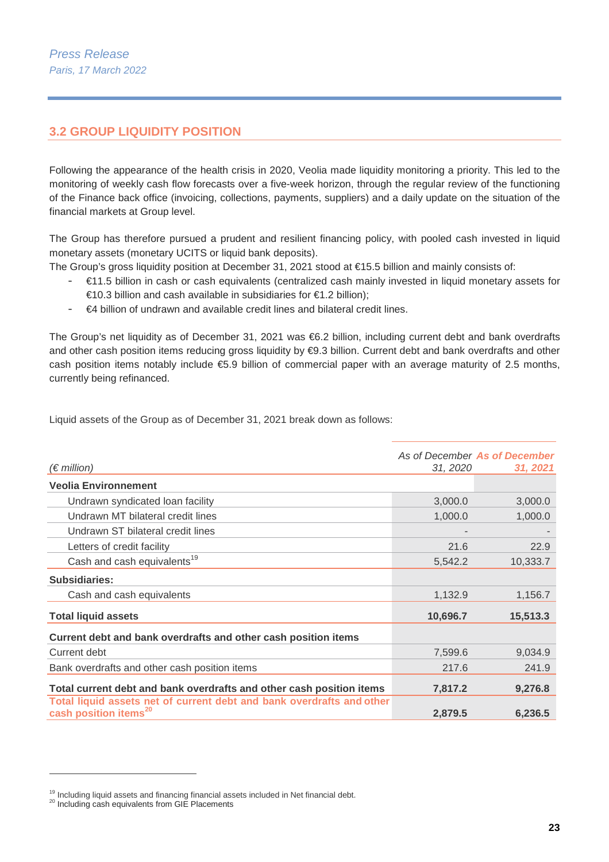### **3.2 GROUP LIQUIDITY POSITION**

Following the appearance of the health crisis in 2020, Veolia made liquidity monitoring a priority. This led to the monitoring of weekly cash flow forecasts over a five-week horizon, through the regular review of the functioning of the Finance back office (invoicing, collections, payments, suppliers) and a daily update on the situation of the financial markets at Group level.

The Group has therefore pursued a prudent and resilient financing policy, with pooled cash invested in liquid monetary assets (monetary UCITS or liquid bank deposits).

The Group's gross liquidity position at December 31, 2021 stood at €15.5 billion and mainly consists of:

- €11.5 billion in cash or cash equivalents (centralized cash mainly invested in liquid monetary assets for €10.3 billion and cash available in subsidiaries for €1.2 billion);
- €4 billion of undrawn and available credit lines and bilateral credit lines.

The Group's net liquidity as of December 31, 2021 was €6.2 billion, including current debt and bank overdrafts and other cash position items reducing gross liquidity by €9.3 billion. Current debt and bank overdrafts and other cash position items notably include €5.9 billion of commercial paper with an average maturity of 2.5 months, currently being refinanced.

Liquid assets of the Group as of December 31, 2021 break down as follows:

|                                                                                                            |          | As of December As of December |
|------------------------------------------------------------------------------------------------------------|----------|-------------------------------|
| $(\epsilon$ million)                                                                                       | 31, 2020 | 31, 2021                      |
| <b>Veolia Environnement</b>                                                                                |          |                               |
| Undrawn syndicated loan facility                                                                           | 3,000.0  | 3,000.0                       |
| Undrawn MT bilateral credit lines                                                                          | 1,000.0  | 1,000.0                       |
| Undrawn ST bilateral credit lines                                                                          |          |                               |
| Letters of credit facility                                                                                 | 21.6     | 22.9                          |
| Cash and cash equivalents <sup>19</sup>                                                                    | 5,542.2  | 10,333.7                      |
| <b>Subsidiaries:</b>                                                                                       |          |                               |
| Cash and cash equivalents                                                                                  | 1,132.9  | 1,156.7                       |
| <b>Total liquid assets</b>                                                                                 | 10,696.7 | 15,513.3                      |
| Current debt and bank overdrafts and other cash position items                                             |          |                               |
| Current debt                                                                                               | 7,599.6  | 9,034.9                       |
| Bank overdrafts and other cash position items                                                              | 217.6    | 241.9                         |
| Total current debt and bank overdrafts and other cash position items                                       | 7,817.2  | 9,276.8                       |
| Total liquid assets net of current debt and bank overdrafts and other<br>cash position items <sup>20</sup> | 2,879.5  | 6,236.5                       |

<sup>&</sup>lt;sup>19</sup> Including liquid assets and financing financial assets included in Net financial debt.

 $20$  Including cash equivalents from GIE Placements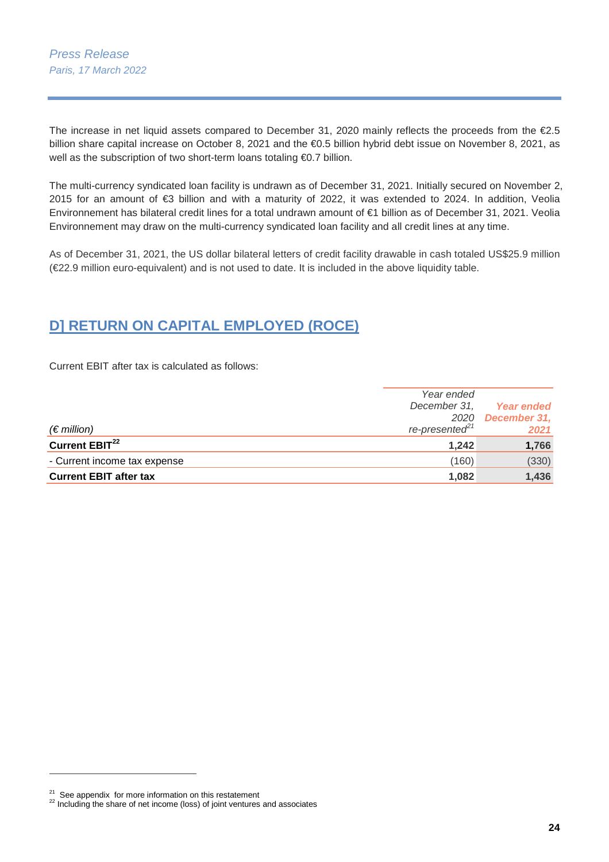The increase in net liquid assets compared to December 31, 2020 mainly reflects the proceeds from the €2.5 billion share capital increase on October 8, 2021 and the €0.5 billion hybrid debt issue on November 8, 2021, as well as the subscription of two short-term loans totaling €0.7 billion.

The multi-currency syndicated loan facility is undrawn as of December 31, 2021. Initially secured on November 2, 2015 for an amount of €3 billion and with a maturity of 2022, it was extended to 2024. In addition, Veolia Environnement has bilateral credit lines for a total undrawn amount of €1 billion as of December 31, 2021. Veolia Environnement may draw on the multi-currency syndicated loan facility and all credit lines at any time.

As of December 31, 2021, the US dollar bilateral letters of credit facility drawable in cash totaled US\$25.9 million (€22.9 million euro-equivalent) and is not used to date. It is included in the above liquidity table.

# **D] RETURN ON CAPITAL EMPLOYED (ROCE)**

Current EBIT after tax is calculated as follows:

|                               | Year ended           |                   |
|-------------------------------|----------------------|-------------------|
|                               | December 31,         | <b>Year ended</b> |
|                               |                      | 2020 December 31, |
| (€ million)                   | re-presented $^{21}$ | 2021              |
| Current EBIT <sup>22</sup>    | 1.242                | 1,766             |
| - Current income tax expense  | (160)                | (330)             |
| <b>Current EBIT after tax</b> | 1,082                | 1,436             |

 $21$  See appendix for more information on this restatement

<sup>&</sup>lt;sup>22</sup> Including the share of net income (loss) of joint ventures and associates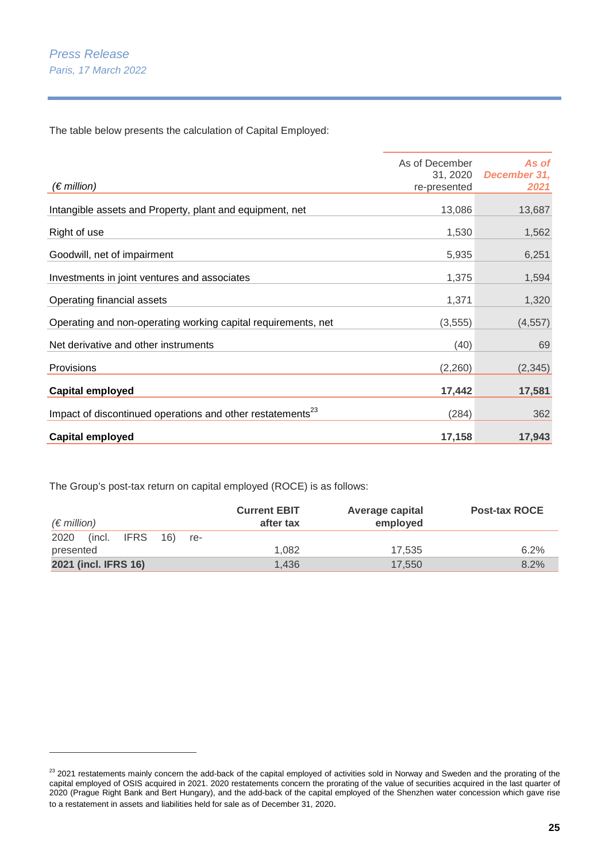$\overline{a}$ 

The table below presents the calculation of Capital Employed:

|                                                                        | As of December           | As of                |
|------------------------------------------------------------------------|--------------------------|----------------------|
| $(\epsilon$ million)                                                   | 31, 2020<br>re-presented | December 31,<br>2021 |
| Intangible assets and Property, plant and equipment, net               | 13,086                   | 13,687               |
| Right of use                                                           | 1,530                    | 1,562                |
| Goodwill, net of impairment                                            | 5,935                    | 6,251                |
| Investments in joint ventures and associates                           | 1,375                    | 1,594                |
| Operating financial assets                                             | 1,371                    | 1,320                |
| Operating and non-operating working capital requirements, net          | (3, 555)                 | (4, 557)             |
| Net derivative and other instruments                                   | (40)                     | 69                   |
| Provisions                                                             | (2,260)                  | (2, 345)             |
| <b>Capital employed</b>                                                | 17,442                   | 17,581               |
| Impact of discontinued operations and other restatements <sup>23</sup> | (284)                    | 362                  |
| <b>Capital employed</b>                                                | 17,158                   | 17,943               |

The Group's post-tax return on capital employed (ROCE) is as follows:

| $(\epsilon$ million) |                      |             |     |     | <b>Current EBIT</b><br>after tax | Average capital<br>employed | <b>Post-tax ROCE</b> |
|----------------------|----------------------|-------------|-----|-----|----------------------------------|-----------------------------|----------------------|
| 2020                 | (incl.               | <b>IFRS</b> | 16) | re- |                                  |                             |                      |
| presented            |                      |             |     |     | 1.082                            | 17.535                      | 6.2%                 |
|                      | 2021 (incl. IFRS 16) |             |     |     | 1.436                            | 17.550                      | 8.2%                 |

 $^{23}$  2021 restatements mainly concern the add-back of the capital employed of activities sold in Norway and Sweden and the prorating of the capital employed of OSIS acquired in 2021. 2020 restatements concern the prorating of the value of securities acquired in the last quarter of 2020 (Prague Right Bank and Bert Hungary), and the add-back of the capital employed of the Shenzhen water concession which gave rise to a restatement in assets and liabilities held for sale as of December 31, 2020.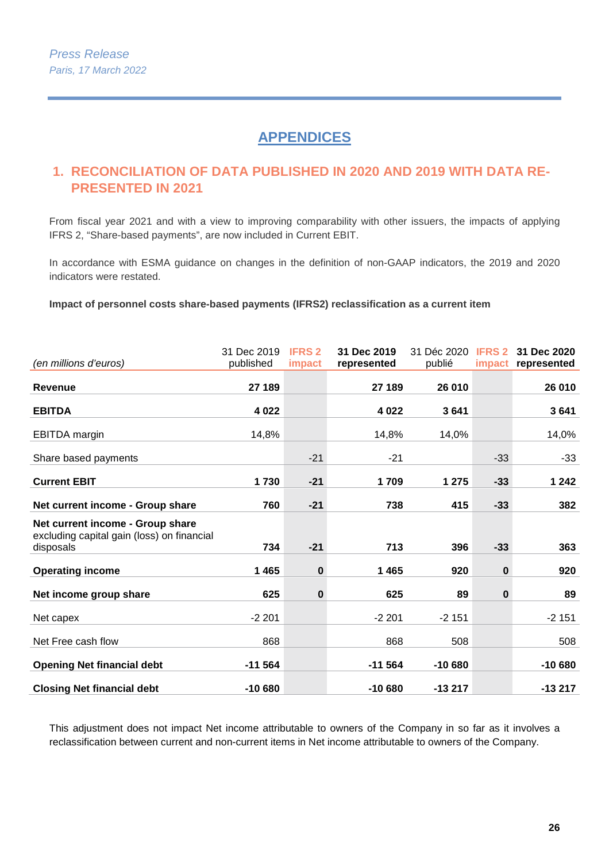# **APPENDICES**

### **1. RECONCILIATION OF DATA PUBLISHED IN 2020 AND 2019 WITH DATA RE-PRESENTED IN 2021**

From fiscal year 2021 and with a view to improving comparability with other issuers, the impacts of applying IFRS 2, "Share-based payments", are now included in Current EBIT.

In accordance with ESMA guidance on changes in the definition of non-GAAP indicators, the 2019 and 2020 indicators were restated.

**Impact of personnel costs share-based payments (IFRS2) reclassification as a current item** 

|                                                                                | 31 Dec 2019 | <b>IFRS 2</b> | 31 Dec 2019 | 31 Déc 2020 | <b>IFRS 2</b> | 31 Dec 2020        |
|--------------------------------------------------------------------------------|-------------|---------------|-------------|-------------|---------------|--------------------|
| (en millions d'euros)                                                          | published   | <b>impact</b> | represented | publié      |               | impact represented |
| <b>Revenue</b>                                                                 | 27 189      |               | 27 189      | 26 010      |               | 26 010             |
| <b>EBITDA</b>                                                                  | 4 0 2 2     |               | 4 0 2 2     | 3641        |               | 3641               |
| <b>EBITDA</b> margin                                                           | 14,8%       |               | 14,8%       | 14,0%       |               | 14,0%              |
| Share based payments                                                           |             | $-21$         | $-21$       |             | $-33$         | $-33$              |
| <b>Current EBIT</b>                                                            | 1730        | $-21$         | 1709        | 1 275       | $-33$         | 1 2 4 2            |
| Net current income - Group share                                               | 760         | $-21$         | 738         | 415         | $-33$         | 382                |
| Net current income - Group share<br>excluding capital gain (loss) on financial |             |               |             |             |               |                    |
| disposals                                                                      | 734         | $-21$         | 713         | 396         | $-33$         | 363                |
| <b>Operating income</b>                                                        | 1 4 6 5     | $\bf{0}$      | 1 4 6 5     | 920         | 0             | 920                |
| Net income group share                                                         | 625         | $\bf{0}$      | 625         | 89          | $\bf{0}$      | 89                 |
| Net capex                                                                      | $-2201$     |               | $-2201$     | $-2151$     |               | $-2151$            |
| Net Free cash flow                                                             | 868         |               | 868         | 508         |               | 508                |
| <b>Opening Net financial debt</b>                                              | $-11564$    |               | $-11564$    | $-10680$    |               | $-10680$           |
| <b>Closing Net financial debt</b>                                              | $-10680$    |               | $-10680$    | $-13217$    |               | $-13217$           |

This adjustment does not impact Net income attributable to owners of the Company in so far as it involves a reclassification between current and non-current items in Net income attributable to owners of the Company.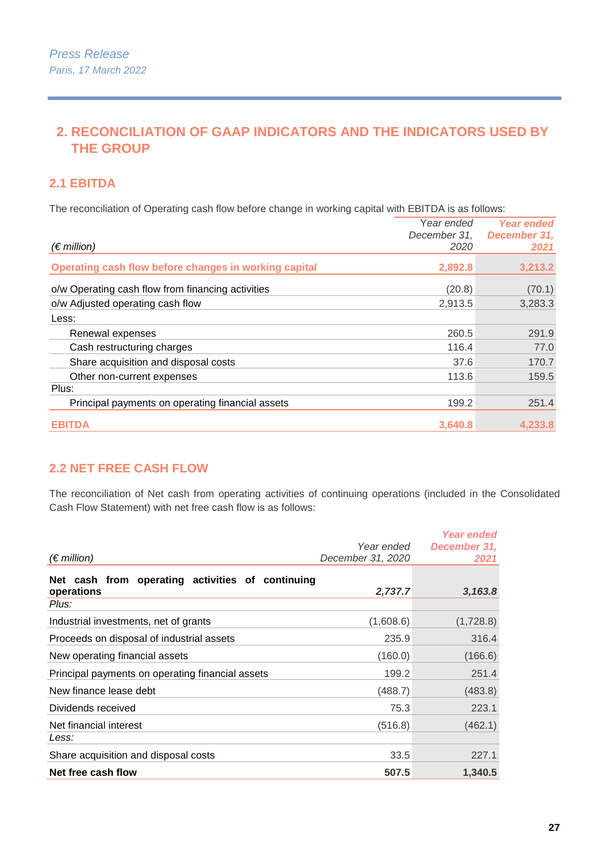# **2. RECONCILIATION OF GAAP INDICATORS AND THE INDICATORS USED BY THE GROUP**

### **2.1 EBITDA**

The reconciliation of Operating cash flow before change in working capital with EBITDA is as follows:

|                                                       | Year ended   | <b>Year ended</b> |
|-------------------------------------------------------|--------------|-------------------|
|                                                       | December 31, | December 31,      |
| $(\epsilon$ million)                                  | 2020         | 2021              |
| Operating cash flow before changes in working capital | 2,892.8      | 3,213.2           |
| o/w Operating cash flow from financing activities     | (20.8)       | (70.1)            |
| o/w Adjusted operating cash flow                      | 2,913.5      | 3,283.3           |
| Less:                                                 |              |                   |
| Renewal expenses                                      | 260.5        | 291.9             |
| Cash restructuring charges                            | 116.4        | 77.0              |
| Share acquisition and disposal costs                  | 37.6         | 170.7             |
| Other non-current expenses                            | 113.6        | 159.5             |
| Plus:                                                 |              |                   |
| Principal payments on operating financial assets      | 199.2        | 251.4             |
| <b>EBITDA</b>                                         | 3,640.8      | 4,233.8           |

### **2.2 NET FREE CASH FLOW**

The reconciliation of Net cash from operating activities of continuing operations (included in the Consolidated Cash Flow Statement) with net free cash flow is as follows:

| $(\epsilon$ million)                                                    | Year ended<br>December 31, 2020 | <b>Year ended</b><br>December 31,<br>2021 |
|-------------------------------------------------------------------------|---------------------------------|-------------------------------------------|
| Net cash from operating activities of continuing<br>operations<br>Plus: | 2,737.7                         | 3,163.8                                   |
| Industrial investments, net of grants                                   | (1,608.6)                       | (1,728.8)                                 |
| Proceeds on disposal of industrial assets                               | 235.9                           | 316.4                                     |
| New operating financial assets                                          | (160.0)                         | (166.6)                                   |
| Principal payments on operating financial assets                        | 199.2                           | 251.4                                     |
| New finance lease debt                                                  | (488.7)                         | (483.8)                                   |
| Dividends received                                                      | 75.3                            | 223.1                                     |
| Net financial interest<br>Less:                                         | (516.8)                         | (462.1)                                   |
| Share acquisition and disposal costs                                    | 33.5                            | 227.1                                     |
| Net free cash flow                                                      | 507.5                           | 1,340.5                                   |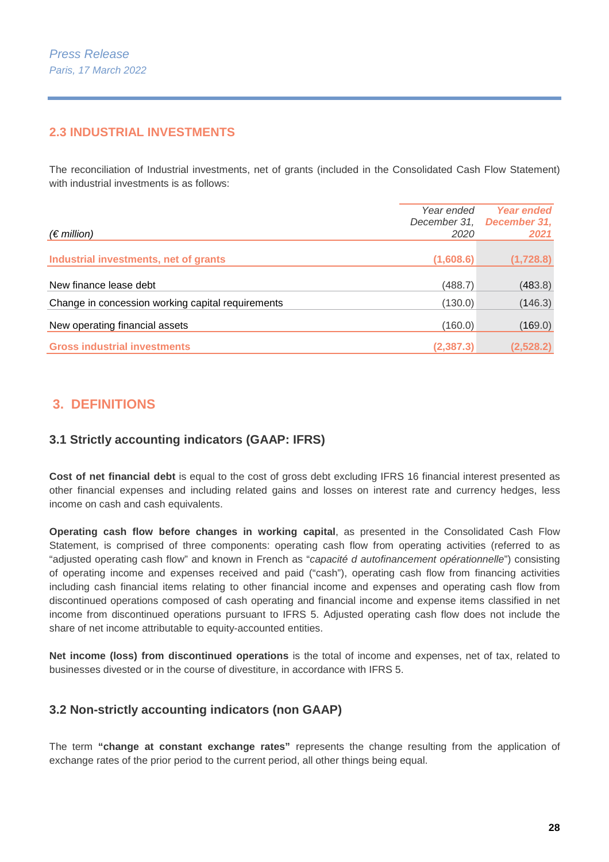### **2.3 INDUSTRIAL INVESTMENTS**

The reconciliation of Industrial investments, net of grants (included in the Consolidated Cash Flow Statement) with industrial investments is as follows:

|                                                   | Year ended   | <b>Year ended</b> |
|---------------------------------------------------|--------------|-------------------|
|                                                   | December 31, | December 31,      |
| $(\epsilon$ million)                              | 2020         | 2021              |
|                                                   |              |                   |
| Industrial investments, net of grants             | (1,608.6)    | (1,728.8)         |
|                                                   |              |                   |
| New finance lease debt                            | (488.7)      | (483.8)           |
| Change in concession working capital requirements | (130.0)      | (146.3)           |
| New operating financial assets                    | (160.0)      | (169.0)           |
| <b>Gross industrial investments</b>               | (2,387.3)    | (2,528.2)         |

# **3. DEFINITIONS**

### **3.1 Strictly accounting indicators (GAAP: IFRS)**

**Cost of net financial debt** is equal to the cost of gross debt excluding IFRS 16 financial interest presented as other financial expenses and including related gains and losses on interest rate and currency hedges, less income on cash and cash equivalents.

**Operating cash flow before changes in working capital**, as presented in the Consolidated Cash Flow Statement, is comprised of three components: operating cash flow from operating activities (referred to as "adjusted operating cash flow" and known in French as "capacité d autofinancement opérationnelle") consisting of operating income and expenses received and paid ("cash"), operating cash flow from financing activities including cash financial items relating to other financial income and expenses and operating cash flow from discontinued operations composed of cash operating and financial income and expense items classified in net income from discontinued operations pursuant to IFRS 5. Adjusted operating cash flow does not include the share of net income attributable to equity-accounted entities.

**Net income (loss) from discontinued operations** is the total of income and expenses, net of tax, related to businesses divested or in the course of divestiture, in accordance with IFRS 5.

### **3.2 Non-strictly accounting indicators (non GAAP)**

The term **"change at constant exchange rates"** represents the change resulting from the application of exchange rates of the prior period to the current period, all other things being equal.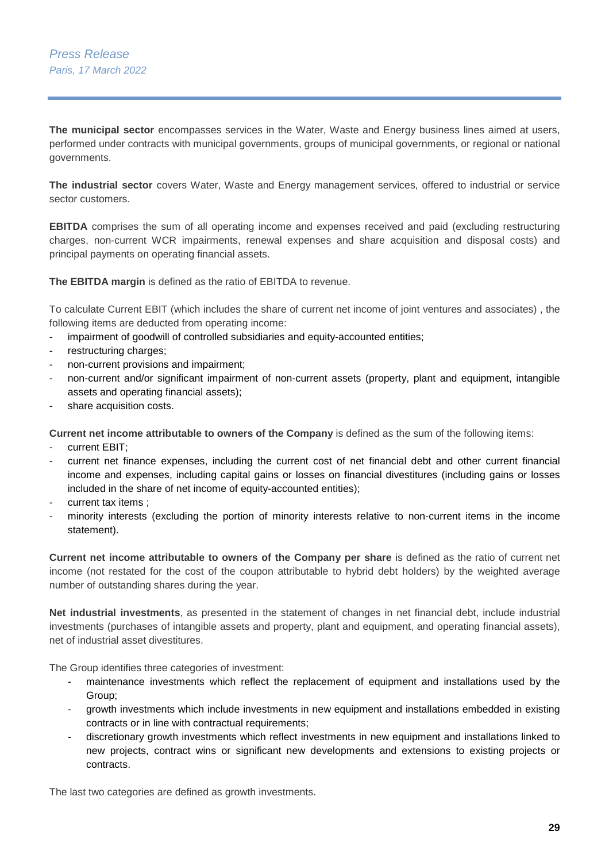**The municipal sector** encompasses services in the Water, Waste and Energy business lines aimed at users, performed under contracts with municipal governments, groups of municipal governments, or regional or national governments.

**The industrial sector** covers Water, Waste and Energy management services, offered to industrial or service sector customers.

**EBITDA** comprises the sum of all operating income and expenses received and paid (excluding restructuring charges, non-current WCR impairments, renewal expenses and share acquisition and disposal costs) and principal payments on operating financial assets.

**The EBITDA margin** is defined as the ratio of EBITDA to revenue.

To calculate Current EBIT (which includes the share of current net income of joint ventures and associates) , the following items are deducted from operating income:

- impairment of goodwill of controlled subsidiaries and equity-accounted entities;
- restructuring charges;
- non-current provisions and impairment;
- non-current and/or significant impairment of non-current assets (property, plant and equipment, intangible assets and operating financial assets);
- share acquisition costs.

**Current net income attributable to owners of the Company** is defined as the sum of the following items:

- current EBIT:
- current net finance expenses, including the current cost of net financial debt and other current financial income and expenses, including capital gains or losses on financial divestitures (including gains or losses included in the share of net income of equity-accounted entities):
- current tax items :
- minority interests (excluding the portion of minority interests relative to non-current items in the income statement).

**Current net income attributable to owners of the Company per share** is defined as the ratio of current net income (not restated for the cost of the coupon attributable to hybrid debt holders) by the weighted average number of outstanding shares during the year.

**Net industrial investments**, as presented in the statement of changes in net financial debt, include industrial investments (purchases of intangible assets and property, plant and equipment, and operating financial assets), net of industrial asset divestitures.

The Group identifies three categories of investment:

- maintenance investments which reflect the replacement of equipment and installations used by the Group;
- growth investments which include investments in new equipment and installations embedded in existing contracts or in line with contractual requirements;
- discretionary growth investments which reflect investments in new equipment and installations linked to new projects, contract wins or significant new developments and extensions to existing projects or contracts.

The last two categories are defined as growth investments.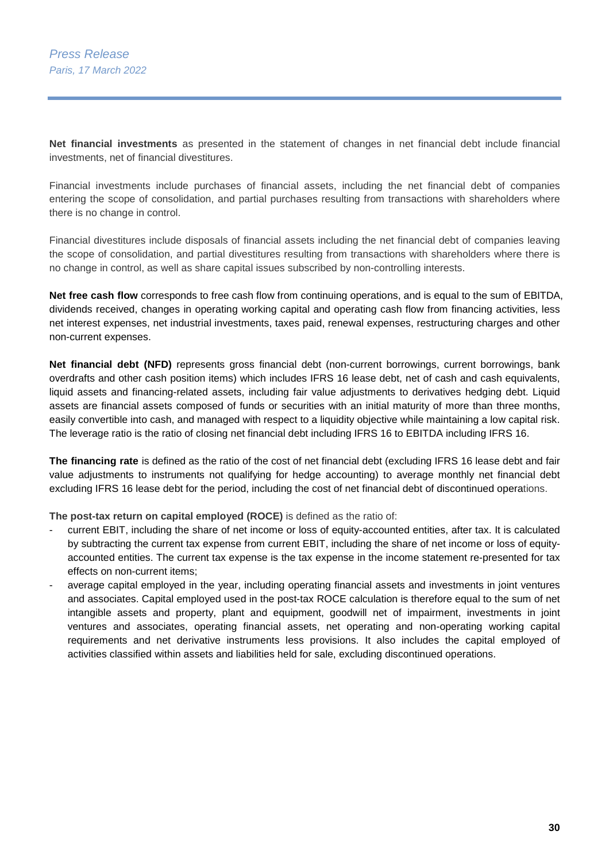**Net financial investments** as presented in the statement of changes in net financial debt include financial investments, net of financial divestitures.

Financial investments include purchases of financial assets, including the net financial debt of companies entering the scope of consolidation, and partial purchases resulting from transactions with shareholders where there is no change in control.

Financial divestitures include disposals of financial assets including the net financial debt of companies leaving the scope of consolidation, and partial divestitures resulting from transactions with shareholders where there is no change in control, as well as share capital issues subscribed by non-controlling interests.

**Net free cash flow** corresponds to free cash flow from continuing operations, and is equal to the sum of EBITDA, dividends received, changes in operating working capital and operating cash flow from financing activities, less net interest expenses, net industrial investments, taxes paid, renewal expenses, restructuring charges and other non-current expenses.

**Net financial debt (NFD)** represents gross financial debt (non-current borrowings, current borrowings, bank overdrafts and other cash position items) which includes IFRS 16 lease debt, net of cash and cash equivalents, liquid assets and financing-related assets, including fair value adjustments to derivatives hedging debt. Liquid assets are financial assets composed of funds or securities with an initial maturity of more than three months, easily convertible into cash, and managed with respect to a liquidity objective while maintaining a low capital risk. The leverage ratio is the ratio of closing net financial debt including IFRS 16 to EBITDA including IFRS 16.

**The financing rate** is defined as the ratio of the cost of net financial debt (excluding IFRS 16 lease debt and fair value adjustments to instruments not qualifying for hedge accounting) to average monthly net financial debt excluding IFRS 16 lease debt for the period, including the cost of net financial debt of discontinued operations.

**The post-tax return on capital employed (ROCE)** is defined as the ratio of:

- current EBIT, including the share of net income or loss of equity-accounted entities, after tax. It is calculated by subtracting the current tax expense from current EBIT, including the share of net income or loss of equityaccounted entities. The current tax expense is the tax expense in the income statement re-presented for tax effects on non-current items;
- average capital employed in the year, including operating financial assets and investments in joint ventures and associates. Capital employed used in the post-tax ROCE calculation is therefore equal to the sum of net intangible assets and property, plant and equipment, goodwill net of impairment, investments in joint ventures and associates, operating financial assets, net operating and non-operating working capital requirements and net derivative instruments less provisions. It also includes the capital employed of activities classified within assets and liabilities held for sale, excluding discontinued operations.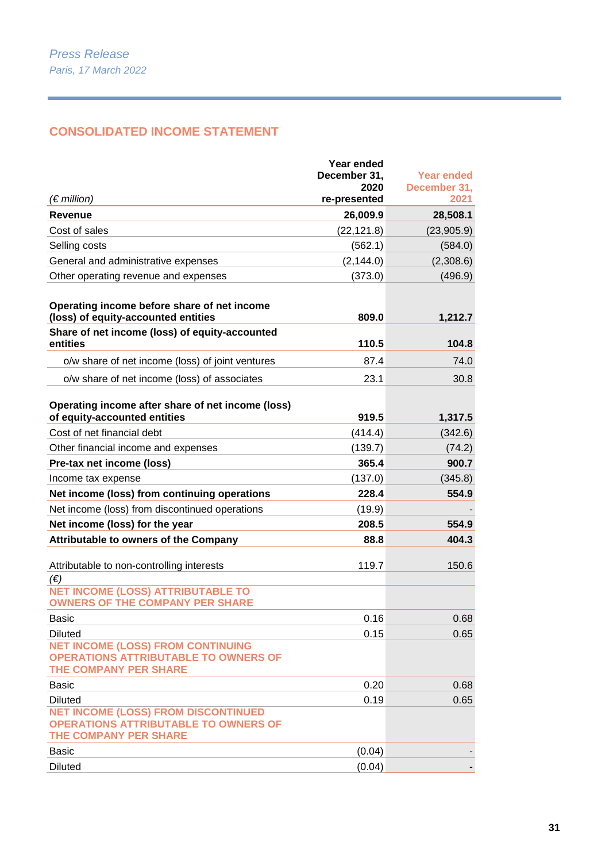<u> Listen de la contrada de la contrada de la contrada de la contrada de la contrada de la contrada de la contra</u>

# **CONSOLIDATED INCOME STATEMENT**

|                                                                                                                           | Year ended<br>December 31, | <b>Year ended</b>    |
|---------------------------------------------------------------------------------------------------------------------------|----------------------------|----------------------|
| $(\epsilon$ million)                                                                                                      | 2020<br>re-presented       | December 31,<br>2021 |
| <b>Revenue</b>                                                                                                            | 26,009.9                   | 28,508.1             |
| Cost of sales                                                                                                             | (22, 121.8)                | (23, 905.9)          |
| Selling costs                                                                                                             | (562.1)                    | (584.0)              |
| General and administrative expenses                                                                                       | (2, 144.0)                 | (2,308.6)            |
| Other operating revenue and expenses                                                                                      | (373.0)                    | (496.9)              |
| Operating income before share of net income<br>(loss) of equity-accounted entities                                        | 809.0                      | 1,212.7              |
| Share of net income (loss) of equity-accounted<br>entities                                                                | 110.5                      | 104.8                |
| o/w share of net income (loss) of joint ventures                                                                          | 87.4                       | 74.0                 |
| o/w share of net income (loss) of associates                                                                              | 23.1                       | 30.8                 |
| Operating income after share of net income (loss)<br>of equity-accounted entities                                         | 919.5                      | 1,317.5              |
| Cost of net financial debt                                                                                                | (414.4)                    | (342.6)              |
| Other financial income and expenses                                                                                       | (139.7)                    | (74.2)               |
| Pre-tax net income (loss)                                                                                                 | 365.4                      | 900.7                |
| Income tax expense                                                                                                        | (137.0)                    | (345.8)              |
| Net income (loss) from continuing operations                                                                              | 228.4                      | 554.9                |
| Net income (loss) from discontinued operations                                                                            | (19.9)                     |                      |
| Net income (loss) for the year                                                                                            | 208.5                      | 554.9                |
| <b>Attributable to owners of the Company</b>                                                                              | 88.8                       | 404.3                |
| Attributable to non-controlling interests                                                                                 | 119.7                      | 150.6                |
| $(\epsilon)$<br><b>NET INCOME (LOSS) ATTRIBUTABLE TO</b>                                                                  |                            |                      |
| <b>OWNERS OF THE COMPANY PER SHARE</b>                                                                                    |                            |                      |
| <b>Basic</b>                                                                                                              | 0.16                       | 0.68                 |
| <b>Diluted</b>                                                                                                            | 0.15                       | 0.65                 |
| <b>NET INCOME (LOSS) FROM CONTINUING</b><br><b>OPERATIONS ATTRIBUTABLE TO OWNERS OF</b><br>THE COMPANY PER SHARE          |                            |                      |
| <b>Basic</b>                                                                                                              | 0.20                       | 0.68                 |
| <b>Diluted</b>                                                                                                            | 0.19                       | 0.65                 |
| <b>NET INCOME (LOSS) FROM DISCONTINUED</b><br><b>OPERATIONS ATTRIBUTABLE TO OWNERS OF</b><br><b>THE COMPANY PER SHARE</b> |                            |                      |
| <b>Basic</b>                                                                                                              | (0.04)                     |                      |
| <b>Diluted</b>                                                                                                            | (0.04)                     |                      |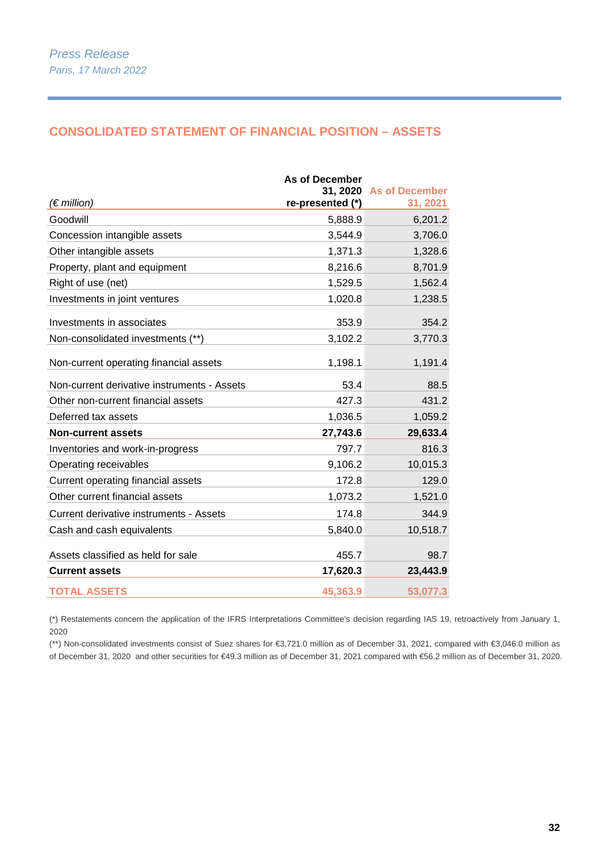#### **CONSOLIDATED STATEMENT OF FINANCIAL POSITION – ASSETS**

|                                                | As of December   |                                     |
|------------------------------------------------|------------------|-------------------------------------|
| $(\epsilon$ million)                           | re-presented (*) | 31, 2020 As of December<br>31, 2021 |
| Goodwill                                       | 5,888.9          | 6,201.2                             |
| Concession intangible assets                   | 3,544.9          | 3,706.0                             |
| Other intangible assets                        | 1,371.3          | 1,328.6                             |
| Property, plant and equipment                  | 8,216.6          | 8,701.9                             |
| Right of use (net)                             | 1,529.5          | 1,562.4                             |
| Investments in joint ventures                  | 1,020.8          | 1,238.5                             |
| Investments in associates                      | 353.9            | 354.2                               |
| Non-consolidated investments (**)              | 3,102.2          | 3,770.3                             |
| Non-current operating financial assets         | 1,198.1          | 1,191.4                             |
| Non-current derivative instruments - Assets    | 53.4             | 88.5                                |
| Other non-current financial assets             | 427.3            | 431.2                               |
| Deferred tax assets                            | 1,036.5          | 1,059.2                             |
| <b>Non-current assets</b>                      | 27,743.6         | 29,633.4                            |
| Inventories and work-in-progress               | 797.7            | 816.3                               |
| Operating receivables                          | 9,106.2          | 10,015.3                            |
| Current operating financial assets             | 172.8            | 129.0                               |
| Other current financial assets                 | 1,073.2          | 1,521.0                             |
| <b>Current derivative instruments - Assets</b> | 174.8            | 344.9                               |
| Cash and cash equivalents                      | 5,840.0          | 10,518.7                            |
| Assets classified as held for sale             | 455.7            | 98.7                                |
| <b>Current assets</b>                          | 17,620.3         | 23,443.9                            |
| <b>TOTAL ASSETS</b>                            | 45,363.9         | 53,077.3                            |

(\*) Restatements concern the application of the IFRS Interpretations Committee's decision regarding IAS 19, retroactively from January 1, 2020

(\*\*) Non-consolidated investments consist of Suez shares for €3,721.0 million as of December 31, 2021, compared with €3,046.0 million as of December 31, 2020 and other securities for €49.3 million as of December 31, 2021 compared with €56.2 million as of December 31, 2020.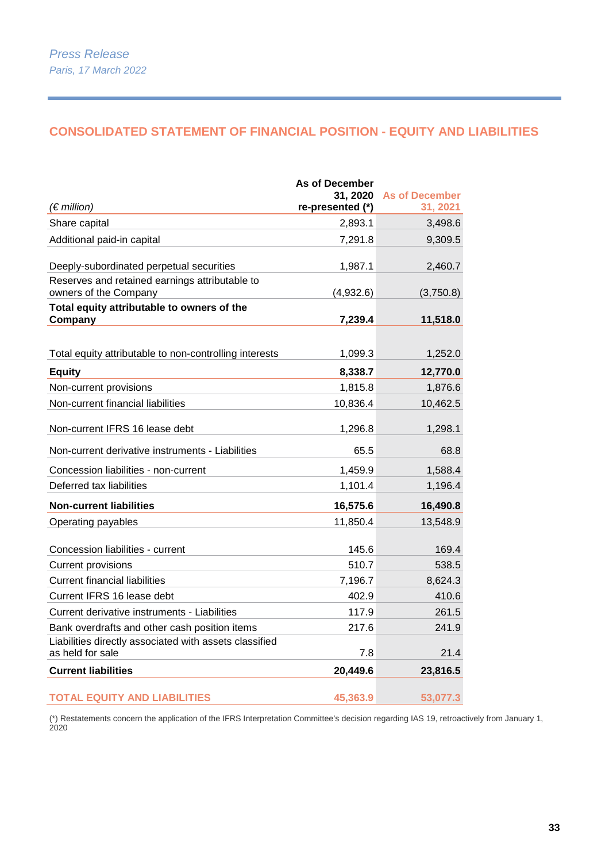### **CONSOLIDATED STATEMENT OF FINANCIAL POSITION - EQUITY AND LIABILITIES**

|                                                                            | <b>As of December</b>       |                                   |
|----------------------------------------------------------------------------|-----------------------------|-----------------------------------|
| (€ million)                                                                | 31.2020<br>re-presented (*) | <b>As of December</b><br>31, 2021 |
| Share capital                                                              | 2,893.1                     | 3,498.6                           |
| Additional paid-in capital                                                 | 7,291.8                     | 9,309.5                           |
|                                                                            |                             |                                   |
| Deeply-subordinated perpetual securities                                   | 1,987.1                     | 2,460.7                           |
| Reserves and retained earnings attributable to                             |                             |                                   |
| owners of the Company<br>Total equity attributable to owners of the        | (4,932.6)                   | (3,750.8)                         |
| Company                                                                    | 7,239.4                     | 11,518.0                          |
|                                                                            |                             |                                   |
| Total equity attributable to non-controlling interests                     | 1,099.3                     | 1,252.0                           |
| <b>Equity</b>                                                              | 8,338.7                     | 12,770.0                          |
| Non-current provisions                                                     | 1,815.8                     | 1,876.6                           |
| Non-current financial liabilities                                          | 10,836.4                    | 10,462.5                          |
|                                                                            |                             |                                   |
| Non-current IFRS 16 lease debt                                             | 1,296.8                     | 1,298.1                           |
| Non-current derivative instruments - Liabilities                           | 65.5                        | 68.8                              |
| Concession liabilities - non-current                                       | 1,459.9                     | 1,588.4                           |
| Deferred tax liabilities                                                   | 1,101.4                     | 1,196.4                           |
| <b>Non-current liabilities</b>                                             | 16,575.6                    | 16,490.8                          |
| Operating payables                                                         | 11,850.4                    | 13,548.9                          |
|                                                                            |                             |                                   |
| Concession liabilities - current                                           | 145.6                       | 169.4                             |
| <b>Current provisions</b>                                                  | 510.7                       | 538.5                             |
| <b>Current financial liabilities</b>                                       | 7,196.7                     | 8,624.3                           |
| Current IFRS 16 lease debt                                                 | 402.9                       | 410.6                             |
| Current derivative instruments - Liabilities                               | 117.9                       | 261.5                             |
| Bank overdrafts and other cash position items                              | 217.6                       | 241.9                             |
| Liabilities directly associated with assets classified<br>as held for sale | 7.8                         | 21.4                              |
| <b>Current liabilities</b>                                                 | 20,449.6                    | 23,816.5                          |
|                                                                            |                             |                                   |
| <b>TOTAL EQUITY AND LIABILITIES</b>                                        | 45,363.9                    | 53,077.3                          |

(\*) Restatements concern the application of the IFRS Interpretation Committee's decision regarding IAS 19, retroactively from January 1, 2020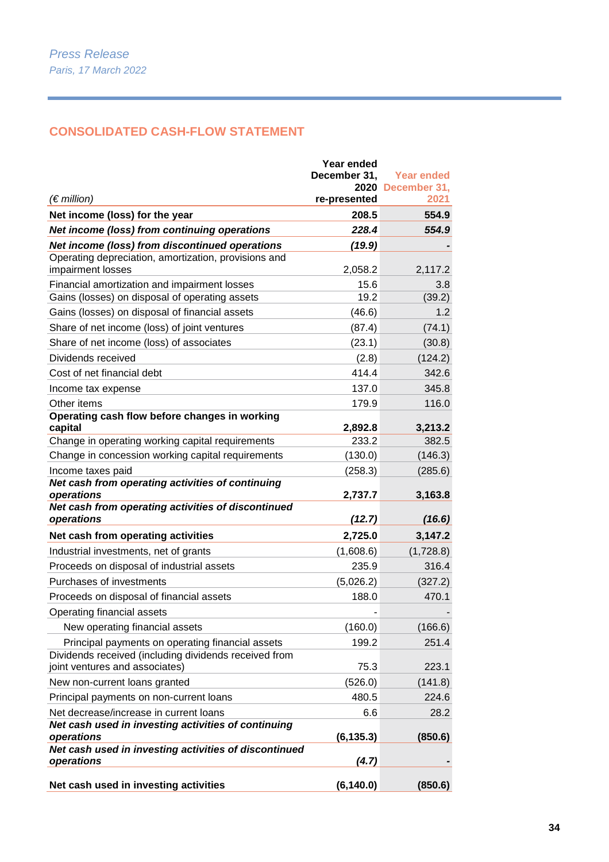<u> Listen de la contrada de la contrada de la contrada de la contrada de la contrada de la contrada de la contra</u>

# **CONSOLIDATED CASH-FLOW STATEMENT**

|                                                                                                | Year ended<br>December 31, | <b>Year ended</b> |
|------------------------------------------------------------------------------------------------|----------------------------|-------------------|
|                                                                                                |                            | 2020 December 31, |
| $(\epsilon$ million)                                                                           | re-presented               | 2021              |
| Net income (loss) for the year                                                                 | 208.5                      | 554.9             |
| Net income (loss) from continuing operations                                                   | 228.4                      | 554.9             |
| Net income (loss) from discontinued operations                                                 | (19.9)                     |                   |
| Operating depreciation, amortization, provisions and                                           |                            |                   |
| impairment losses                                                                              | 2,058.2                    | 2,117.2           |
| Financial amortization and impairment losses<br>Gains (losses) on disposal of operating assets | 15.6<br>19.2               | 3.8<br>(39.2)     |
| Gains (losses) on disposal of financial assets                                                 | (46.6)                     | 1.2               |
| Share of net income (loss) of joint ventures                                                   | (87.4)                     | (74.1)            |
| Share of net income (loss) of associates                                                       | (23.1)                     | (30.8)            |
| Dividends received                                                                             |                            |                   |
| Cost of net financial debt                                                                     | (2.8)<br>414.4             | (124.2)<br>342.6  |
|                                                                                                |                            |                   |
| Income tax expense<br>Other items                                                              | 137.0                      | 345.8<br>116.0    |
| Operating cash flow before changes in working                                                  | 179.9                      |                   |
| capital                                                                                        | 2,892.8                    | 3,213.2           |
| Change in operating working capital requirements                                               | 233.2                      | 382.5             |
| Change in concession working capital requirements                                              | (130.0)                    | (146.3)           |
| Income taxes paid                                                                              | (258.3)                    | (285.6)           |
| Net cash from operating activities of continuing<br>operations                                 | 2,737.7                    | 3,163.8           |
| Net cash from operating activities of discontinued                                             |                            |                   |
| operations                                                                                     | (12.7)                     | (16.6)            |
| Net cash from operating activities                                                             | 2,725.0                    | 3,147.2           |
| Industrial investments, net of grants                                                          | (1,608.6)                  | (1,728.8)         |
| Proceeds on disposal of industrial assets                                                      | 235.9                      | 316.4             |
| Purchases of investments                                                                       | (5,026.2)                  | (327.2)           |
| Proceeds on disposal of financial assets                                                       | 188.0                      | 470.1             |
| Operating financial assets                                                                     |                            |                   |
| New operating financial assets                                                                 | (160.0)                    | (166.6)           |
| Principal payments on operating financial assets                                               | 199.2                      | 251.4             |
| Dividends received (including dividends received from                                          |                            |                   |
| joint ventures and associates)                                                                 | 75.3                       | 223.1             |
| New non-current loans granted                                                                  | (526.0)                    | (141.8)           |
| Principal payments on non-current loans                                                        | 480.5                      | 224.6             |
| Net decrease/increase in current loans                                                         | 6.6                        | 28.2              |
| Net cash used in investing activities of continuing<br>operations                              | (6, 135.3)                 | (850.6)           |
| Net cash used in investing activities of discontinued                                          |                            |                   |
| operations                                                                                     | (4.7)                      |                   |
| Net cash used in investing activities                                                          | (6, 140.0)                 | (850.6)           |